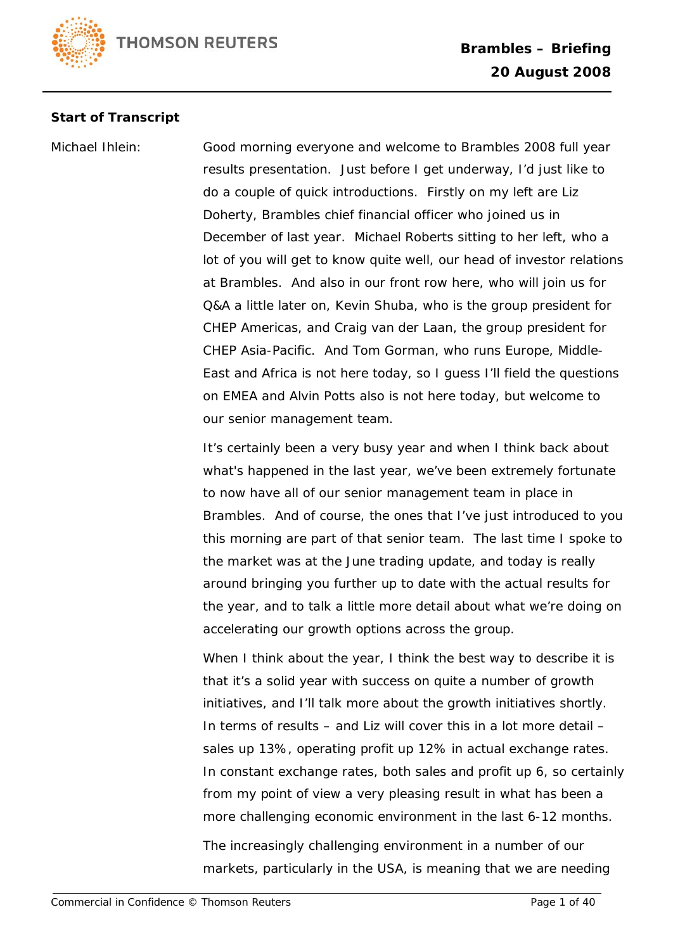

## **Start of Transcript**

Michael Ihlein: Good morning everyone and welcome to Brambles 2008 full year results presentation. Just before I get underway, I'd just like to do a couple of quick introductions. Firstly on my left are Liz Doherty, Brambles chief financial officer who joined us in December of last year. Michael Roberts sitting to her left, who a lot of you will get to know quite well, our head of investor relations at Brambles. And also in our front row here, who will join us for Q&A a little later on, Kevin Shuba, who is the group president for CHEP Americas, and Craig van der Laan, the group president for CHEP Asia-Pacific. And Tom Gorman, who runs Europe, Middle-East and Africa is not here today, so I guess I'll field the questions on EMEA and Alvin Potts also is not here today, but welcome to our senior management team.

> It's certainly been a very busy year and when I think back about what's happened in the last year, we've been extremely fortunate to now have all of our senior management team in place in Brambles. And of course, the ones that I've just introduced to you this morning are part of that senior team. The last time I spoke to the market was at the June trading update, and today is really around bringing you further up to date with the actual results for the year, and to talk a little more detail about what we're doing on accelerating our growth options across the group.

> When I think about the year, I think the best way to describe it is that it's a solid year with success on quite a number of growth initiatives, and I'll talk more about the growth initiatives shortly. In terms of results – and Liz will cover this in a lot more detail – sales up 13%, operating profit up 12% in actual exchange rates. In constant exchange rates, both sales and profit up 6, so certainly from my point of view a very pleasing result in what has been a more challenging economic environment in the last 6-12 months.

The increasingly challenging environment in a number of our markets, particularly in the USA, is meaning that we are needing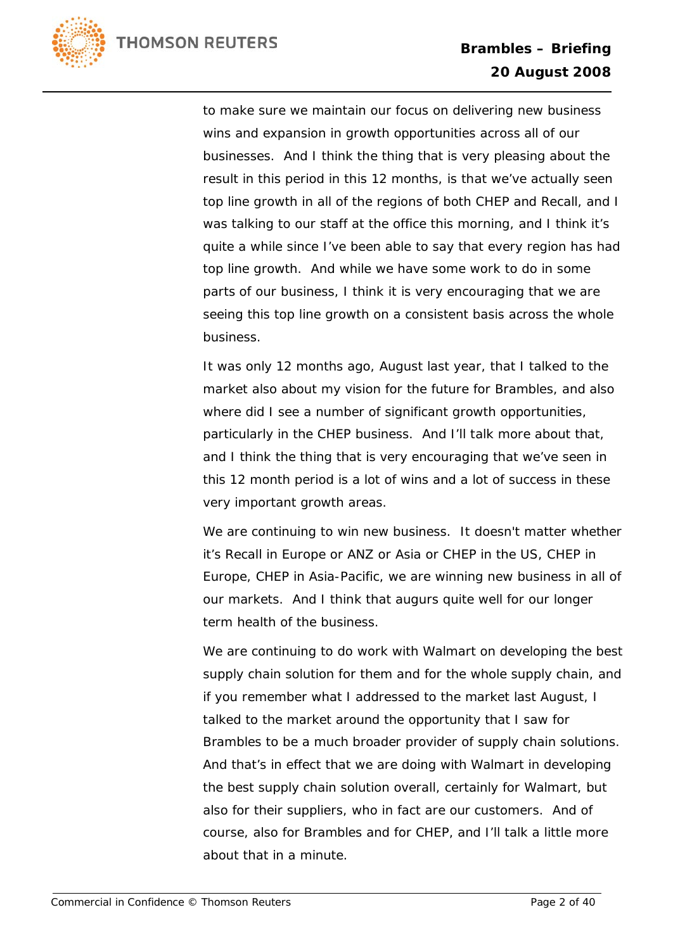

to make sure we maintain our focus on delivering new business wins and expansion in growth opportunities across all of our businesses. And I think the thing that is very pleasing about the result in this period in this 12 months, is that we've actually seen top line growth in all of the regions of both CHEP and Recall, and I was talking to our staff at the office this morning, and I think it's quite a while since I've been able to say that every region has had top line growth. And while we have some work to do in some parts of our business, I think it is very encouraging that we are seeing this top line growth on a consistent basis across the whole business.

It was only 12 months ago, August last year, that I talked to the market also about my vision for the future for Brambles, and also where did I see a number of significant growth opportunities, particularly in the CHEP business. And I'll talk more about that, and I think the thing that is very encouraging that we've seen in this 12 month period is a lot of wins and a lot of success in these very important growth areas.

We are continuing to win new business. It doesn't matter whether it's Recall in Europe or ANZ or Asia or CHEP in the US, CHEP in Europe, CHEP in Asia-Pacific, we are winning new business in all of our markets. And I think that augurs quite well for our longer term health of the business.

We are continuing to do work with Walmart on developing the best supply chain solution for them and for the whole supply chain, and if you remember what I addressed to the market last August, I talked to the market around the opportunity that I saw for Brambles to be a much broader provider of supply chain solutions. And that's in effect that we are doing with Walmart in developing the best supply chain solution overall, certainly for Walmart, but also for their suppliers, who in fact are our customers. And of course, also for Brambles and for CHEP, and I'll talk a little more about that in a minute.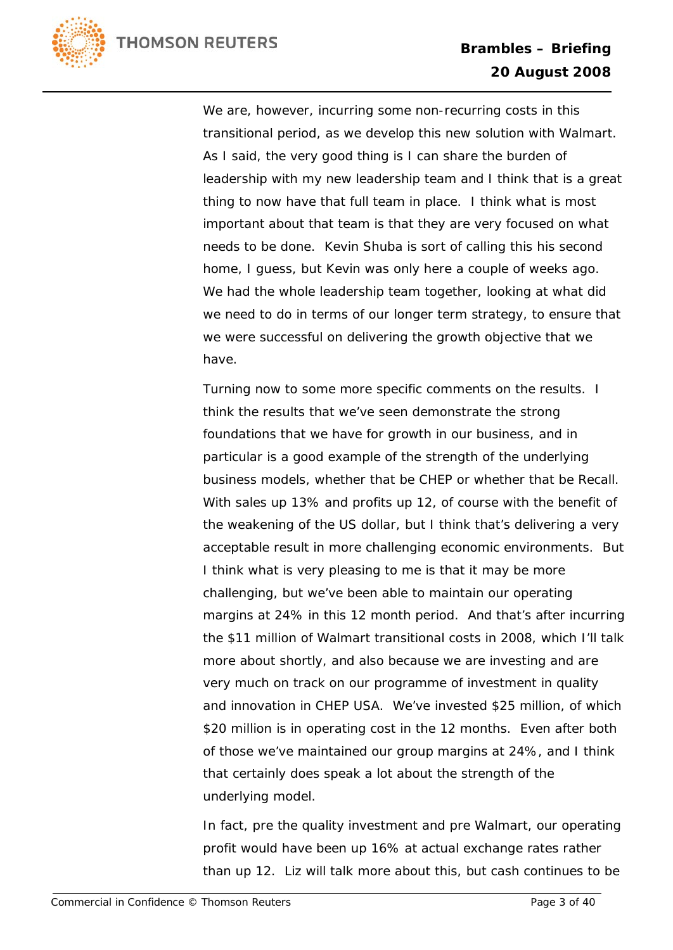

We are, however, incurring some non-recurring costs in this transitional period, as we develop this new solution with Walmart. As I said, the very good thing is I can share the burden of leadership with my new leadership team and I think that is a great thing to now have that full team in place. I think what is most important about that team is that they are very focused on what needs to be done. Kevin Shuba is sort of calling this his second home, I guess, but Kevin was only here a couple of weeks ago. We had the whole leadership team together, looking at what did we need to do in terms of our longer term strategy, to ensure that we were successful on delivering the growth objective that we have.

Turning now to some more specific comments on the results. I think the results that we've seen demonstrate the strong foundations that we have for growth in our business, and in particular is a good example of the strength of the underlying business models, whether that be CHEP or whether that be Recall. With sales up 13% and profits up 12, of course with the benefit of the weakening of the US dollar, but I think that's delivering a very acceptable result in more challenging economic environments. But I think what is very pleasing to me is that it may be more challenging, but we've been able to maintain our operating margins at 24% in this 12 month period. And that's after incurring the \$11 million of Walmart transitional costs in 2008, which I'll talk more about shortly, and also because we are investing and are very much on track on our programme of investment in quality and innovation in CHEP USA. We've invested \$25 million, of which \$20 million is in operating cost in the 12 months. Even after both of those we've maintained our group margins at 24%, and I think that certainly does speak a lot about the strength of the underlying model.

In fact, pre the quality investment and pre Walmart, our operating profit would have been up 16% at actual exchange rates rather than up 12. Liz will talk more about this, but cash continues to be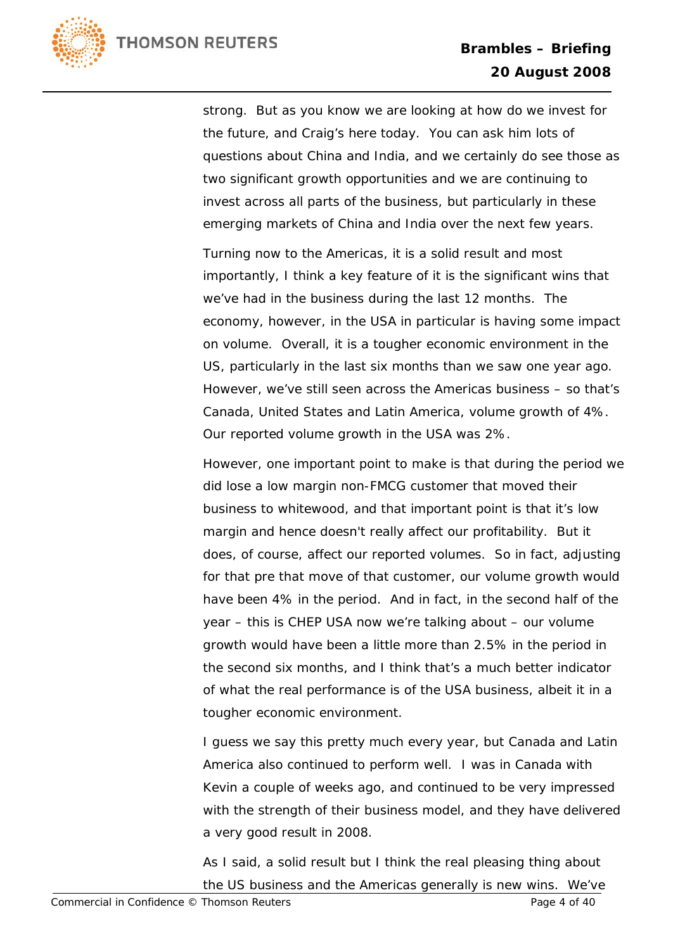

strong. But as you know we are looking at how do we invest for the future, and Craig's here today. You can ask him lots of questions about China and India, and we certainly do see those as two significant growth opportunities and we are continuing to invest across all parts of the business, but particularly in these emerging markets of China and India over the next few years.

Turning now to the Americas, it is a solid result and most importantly, I think a key feature of it is the significant wins that we've had in the business during the last 12 months. The economy, however, in the USA in particular is having some impact on volume. Overall, it is a tougher economic environment in the US, particularly in the last six months than we saw one year ago. However, we've still seen across the Americas business – so that's Canada, United States and Latin America, volume growth of 4%. Our reported volume growth in the USA was 2%.

However, one important point to make is that during the period we did lose a low margin non-FMCG customer that moved their business to whitewood, and that important point is that it's low margin and hence doesn't really affect our profitability. But it does, of course, affect our reported volumes. So in fact, adjusting for that pre that move of that customer, our volume growth would have been 4% in the period. And in fact, in the second half of the year – this is CHEP USA now we're talking about – our volume growth would have been a little more than 2.5% in the period in the second six months, and I think that's a much better indicator of what the real performance is of the USA business, albeit it in a tougher economic environment.

I guess we say this pretty much every year, but Canada and Latin America also continued to perform well. I was in Canada with Kevin a couple of weeks ago, and continued to be very impressed with the strength of their business model, and they have delivered a very good result in 2008.

As I said, a solid result but I think the real pleasing thing about the US business and the Americas generally is new wins. We've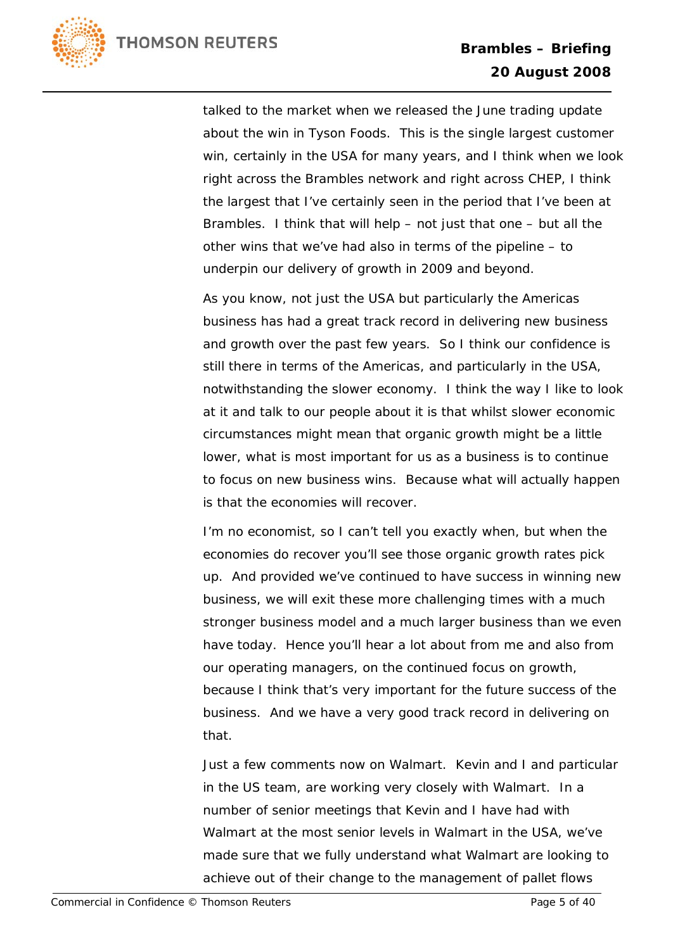

talked to the market when we released the June trading update about the win in Tyson Foods. This is the single largest customer win, certainly in the USA for many years, and I think when we look right across the Brambles network and right across CHEP, I think the largest that I've certainly seen in the period that I've been at Brambles. I think that will help – not just that one – but all the other wins that we've had also in terms of the pipeline – to underpin our delivery of growth in 2009 and beyond.

As you know, not just the USA but particularly the Americas business has had a great track record in delivering new business and growth over the past few years. So I think our confidence is still there in terms of the Americas, and particularly in the USA, notwithstanding the slower economy. I think the way I like to look at it and talk to our people about it is that whilst slower economic circumstances might mean that organic growth might be a little lower, what is most important for us as a business is to continue to focus on new business wins. Because what will actually happen is that the economies will recover.

I'm no economist, so I can't tell you exactly when, but when the economies do recover you'll see those organic growth rates pick up. And provided we've continued to have success in winning new business, we will exit these more challenging times with a much stronger business model and a much larger business than we even have today. Hence you'll hear a lot about from me and also from our operating managers, on the continued focus on growth, because I think that's very important for the future success of the business. And we have a very good track record in delivering on that.

Just a few comments now on Walmart. Kevin and I and particular in the US team, are working very closely with Walmart. In a number of senior meetings that Kevin and I have had with Walmart at the most senior levels in Walmart in the USA, we've made sure that we fully understand what Walmart are looking to achieve out of their change to the management of pallet flows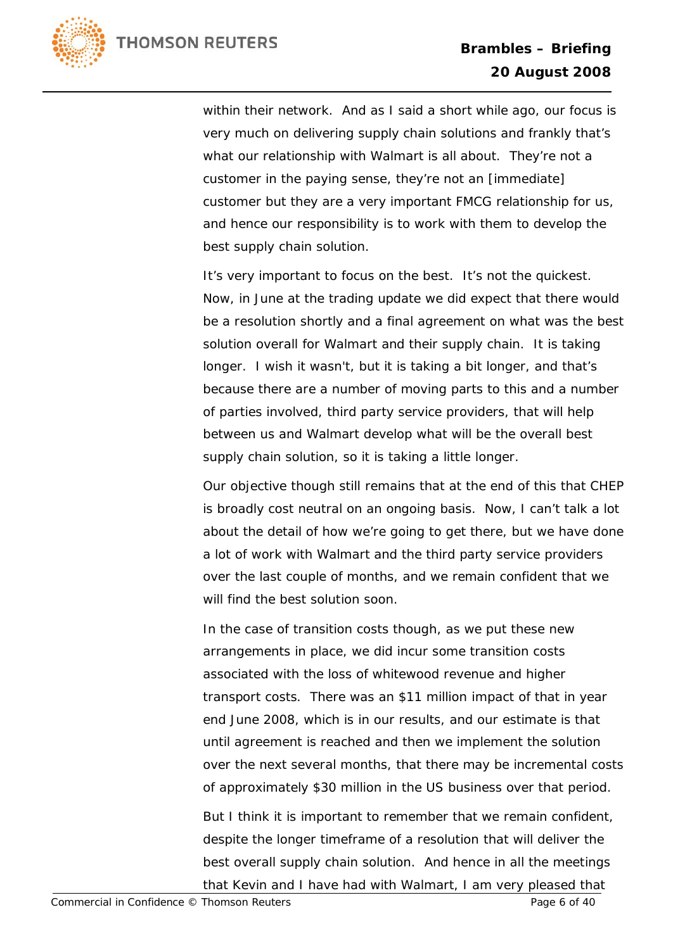

within their network. And as I said a short while ago, our focus is very much on delivering supply chain solutions and frankly that's what our relationship with Walmart is all about. They're not a customer in the paying sense, they're not an [immediate] customer but they are a very important FMCG relationship for us, and hence our responsibility is to work with them to develop the best supply chain solution.

It's very important to focus on the best. It's not the quickest. Now, in June at the trading update we did expect that there would be a resolution shortly and a final agreement on what was the best solution overall for Walmart and their supply chain. It is taking longer. I wish it wasn't, but it is taking a bit longer, and that's because there are a number of moving parts to this and a number of parties involved, third party service providers, that will help between us and Walmart develop what will be the overall best supply chain solution, so it is taking a little longer.

Our objective though still remains that at the end of this that CHEP is broadly cost neutral on an ongoing basis. Now, I can't talk a lot about the detail of how we're going to get there, but we have done a lot of work with Walmart and the third party service providers over the last couple of months, and we remain confident that we will find the best solution soon.

In the case of transition costs though, as we put these new arrangements in place, we did incur some transition costs associated with the loss of whitewood revenue and higher transport costs. There was an \$11 million impact of that in year end June 2008, which is in our results, and our estimate is that until agreement is reached and then we implement the solution over the next several months, that there may be incremental costs of approximately \$30 million in the US business over that period.

But I think it is important to remember that we remain confident, despite the longer timeframe of a resolution that will deliver the best overall supply chain solution. And hence in all the meetings that Kevin and I have had with Walmart, I am very pleased that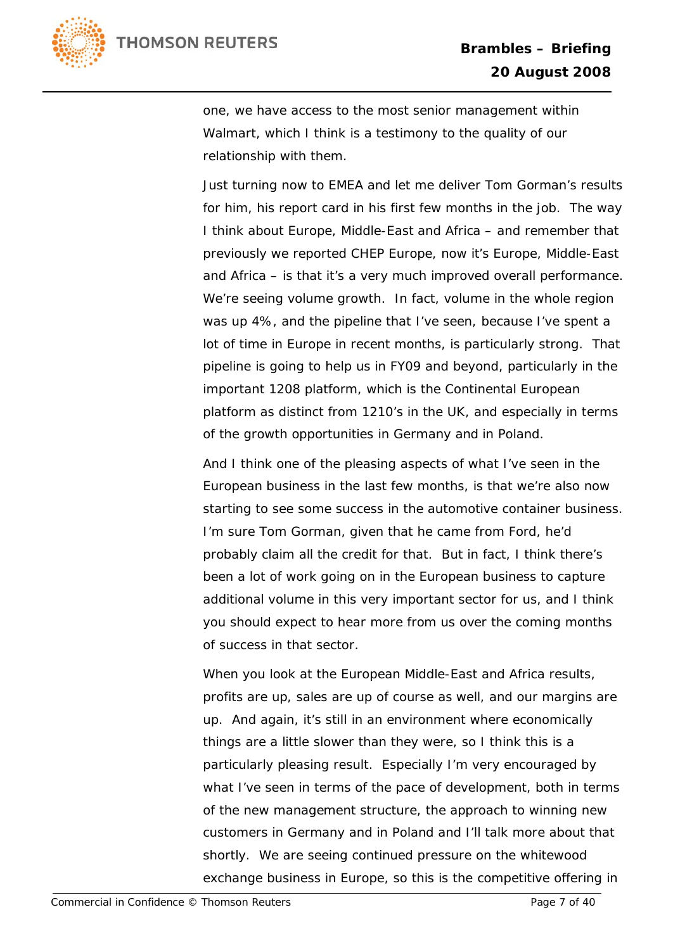

one, we have access to the most senior management within Walmart, which I think is a testimony to the quality of our relationship with them.

Just turning now to EMEA and let me deliver Tom Gorman's results for him, his report card in his first few months in the job. The way I think about Europe, Middle-East and Africa – and remember that previously we reported CHEP Europe, now it's Europe, Middle-East and Africa – is that it's a very much improved overall performance. We're seeing volume growth. In fact, volume in the whole region was up 4%, and the pipeline that I've seen, because I've spent a lot of time in Europe in recent months, is particularly strong. That pipeline is going to help us in FY09 and beyond, particularly in the important 1208 platform, which is the Continental European platform as distinct from 1210's in the UK, and especially in terms of the growth opportunities in Germany and in Poland.

And I think one of the pleasing aspects of what I've seen in the European business in the last few months, is that we're also now starting to see some success in the automotive container business. I'm sure Tom Gorman, given that he came from Ford, he'd probably claim all the credit for that. But in fact, I think there's been a lot of work going on in the European business to capture additional volume in this very important sector for us, and I think you should expect to hear more from us over the coming months of success in that sector.

When you look at the European Middle-East and Africa results, profits are up, sales are up of course as well, and our margins are up. And again, it's still in an environment where economically things are a little slower than they were, so I think this is a particularly pleasing result. Especially I'm very encouraged by what I've seen in terms of the pace of development, both in terms of the new management structure, the approach to winning new customers in Germany and in Poland and I'll talk more about that shortly. We are seeing continued pressure on the whitewood exchange business in Europe, so this is the competitive offering in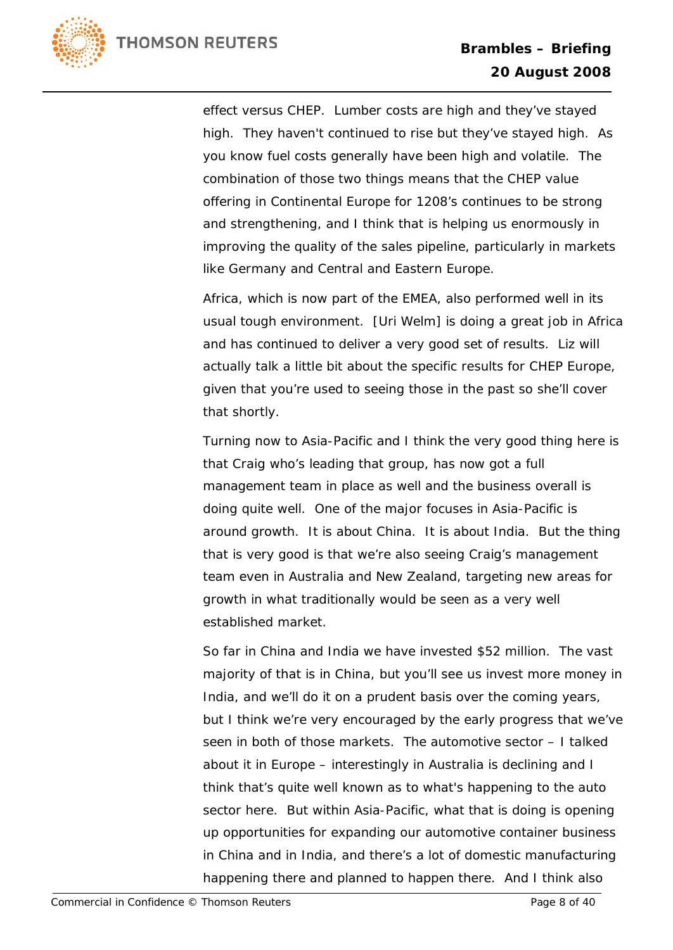

effect versus CHEP. Lumber costs are high and they've stayed high. They haven't continued to rise but they've stayed high. As you know fuel costs generally have been high and volatile. The combination of those two things means that the CHEP value offering in Continental Europe for 1208's continues to be strong and strengthening, and I think that is helping us enormously in improving the quality of the sales pipeline, particularly in markets like Germany and Central and Eastern Europe.

Africa, which is now part of the EMEA, also performed well in its usual tough environment. [Uri Welm] is doing a great job in Africa and has continued to deliver a very good set of results. Liz will actually talk a little bit about the specific results for CHEP Europe, given that you're used to seeing those in the past so she'll cover that shortly.

Turning now to Asia-Pacific and I think the very good thing here is that Craig who's leading that group, has now got a full management team in place as well and the business overall is doing quite well. One of the major focuses in Asia-Pacific is around growth. It is about China. It is about India. But the thing that is very good is that we're also seeing Craig's management team even in Australia and New Zealand, targeting new areas for growth in what traditionally would be seen as a very well established market.

So far in China and India we have invested \$52 million. The vast majority of that is in China, but you'll see us invest more money in India, and we'll do it on a prudent basis over the coming years, but I think we're very encouraged by the early progress that we've seen in both of those markets. The automotive sector – I talked about it in Europe – interestingly in Australia is declining and I think that's quite well known as to what's happening to the auto sector here. But within Asia-Pacific, what that is doing is opening up opportunities for expanding our automotive container business in China and in India, and there's a lot of domestic manufacturing happening there and planned to happen there. And I think also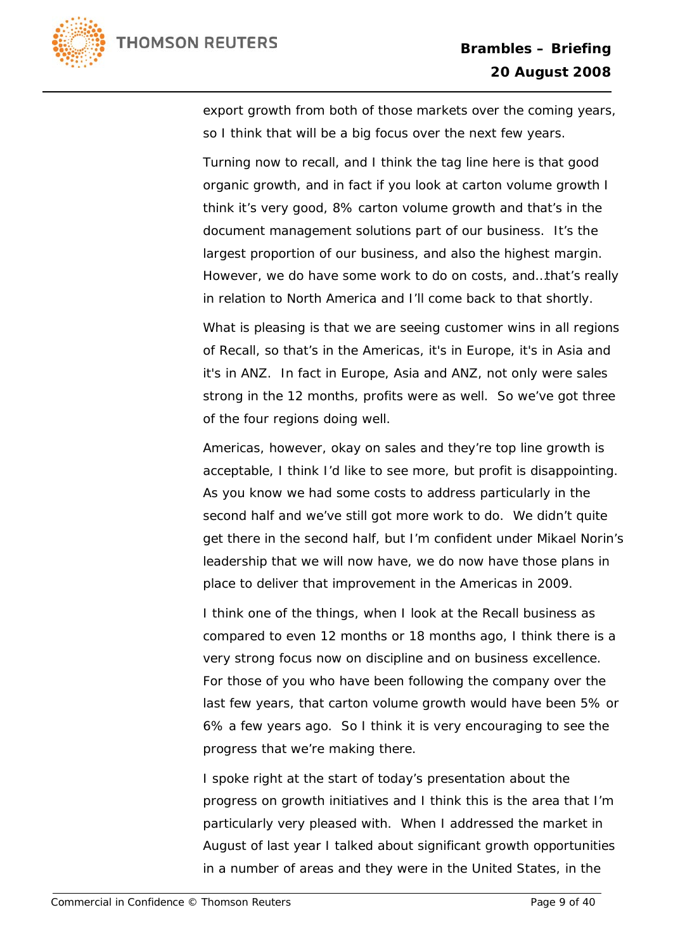



export growth from both of those markets over the coming years, so I think that will be a big focus over the next few years.

Turning now to recall, and I think the tag line here is that good organic growth, and in fact if you look at carton volume growth I think it's very good, 8% carton volume growth and that's in the document management solutions part of our business. It's the largest proportion of our business, and also the highest margin. However, we do have some work to do on costs, and…that's really in relation to North America and I'll come back to that shortly.

What is pleasing is that we are seeing customer wins in all regions of Recall, so that's in the Americas, it's in Europe, it's in Asia and it's in ANZ. In fact in Europe, Asia and ANZ, not only were sales strong in the 12 months, profits were as well. So we've got three of the four regions doing well.

Americas, however, okay on sales and they're top line growth is acceptable, I think I'd like to see more, but profit is disappointing. As you know we had some costs to address particularly in the second half and we've still got more work to do. We didn't quite get there in the second half, but I'm confident under Mikael Norin's leadership that we will now have, we do now have those plans in place to deliver that improvement in the Americas in 2009.

I think one of the things, when I look at the Recall business as compared to even 12 months or 18 months ago, I think there is a very strong focus now on discipline and on business excellence. For those of you who have been following the company over the last few years, that carton volume growth would have been 5% or 6% a few years ago. So I think it is very encouraging to see the progress that we're making there.

I spoke right at the start of today's presentation about the progress on growth initiatives and I think this is the area that I'm particularly very pleased with. When I addressed the market in August of last year I talked about significant growth opportunities in a number of areas and they were in the United States, in the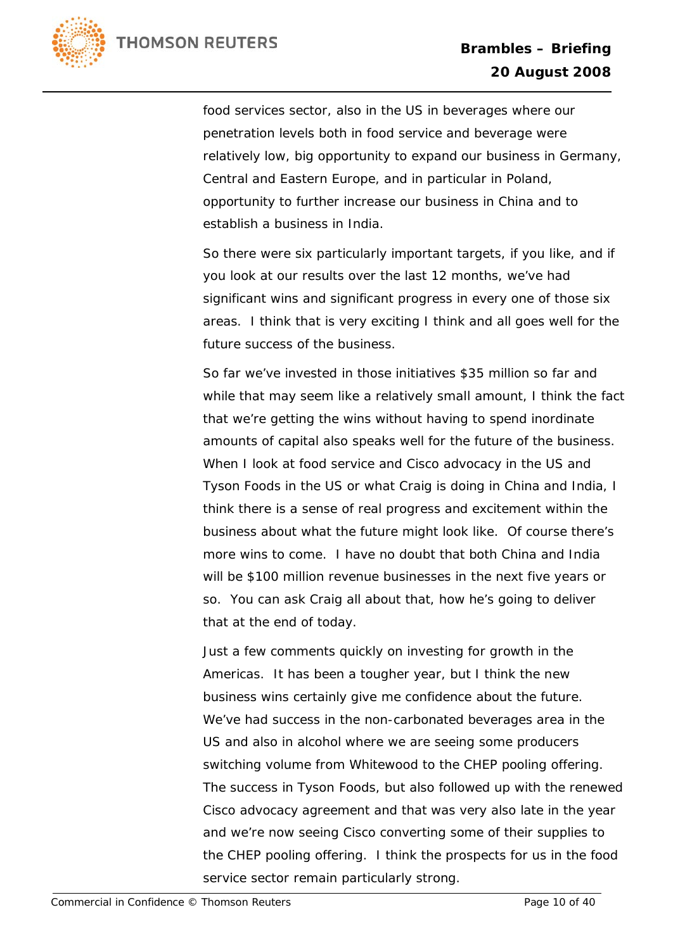

food services sector, also in the US in beverages where our penetration levels both in food service and beverage were relatively low, big opportunity to expand our business in Germany, Central and Eastern Europe, and in particular in Poland, opportunity to further increase our business in China and to establish a business in India.

So there were six particularly important targets, if you like, and if you look at our results over the last 12 months, we've had significant wins and significant progress in every one of those six areas. I think that is very exciting I think and all goes well for the future success of the business.

So far we've invested in those initiatives \$35 million so far and while that may seem like a relatively small amount, I think the fact that we're getting the wins without having to spend inordinate amounts of capital also speaks well for the future of the business. When I look at food service and Cisco advocacy in the US and Tyson Foods in the US or what Craig is doing in China and India, I think there is a sense of real progress and excitement within the business about what the future might look like. Of course there's more wins to come. I have no doubt that both China and India will be \$100 million revenue businesses in the next five years or so. You can ask Craig all about that, how he's going to deliver that at the end of today.

Just a few comments quickly on investing for growth in the Americas. It has been a tougher year, but I think the new business wins certainly give me confidence about the future. We've had success in the non-carbonated beverages area in the US and also in alcohol where we are seeing some producers switching volume from Whitewood to the CHEP pooling offering. The success in Tyson Foods, but also followed up with the renewed Cisco advocacy agreement and that was very also late in the year and we're now seeing Cisco converting some of their supplies to the CHEP pooling offering. I think the prospects for us in the food service sector remain particularly strong.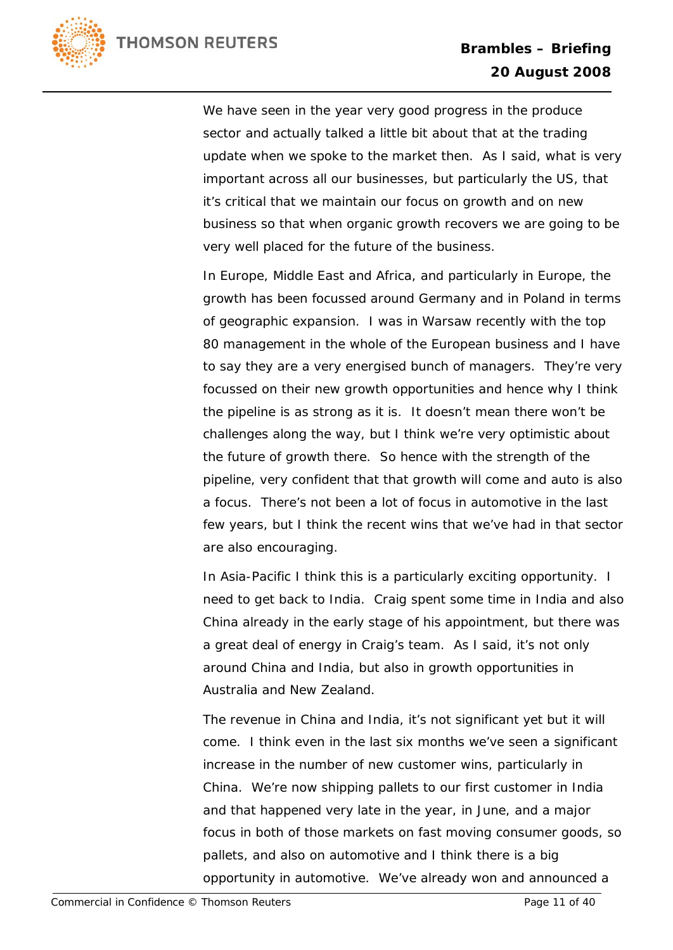

We have seen in the year very good progress in the produce sector and actually talked a little bit about that at the trading update when we spoke to the market then. As I said, what is very important across all our businesses, but particularly the US, that it's critical that we maintain our focus on growth and on new business so that when organic growth recovers we are going to be very well placed for the future of the business.

In Europe, Middle East and Africa, and particularly in Europe, the growth has been focussed around Germany and in Poland in terms of geographic expansion. I was in Warsaw recently with the top 80 management in the whole of the European business and I have to say they are a very energised bunch of managers. They're very focussed on their new growth opportunities and hence why I think the pipeline is as strong as it is. It doesn't mean there won't be challenges along the way, but I think we're very optimistic about the future of growth there. So hence with the strength of the pipeline, very confident that that growth will come and auto is also a focus. There's not been a lot of focus in automotive in the last few years, but I think the recent wins that we've had in that sector are also encouraging.

In Asia-Pacific I think this is a particularly exciting opportunity. I need to get back to India. Craig spent some time in India and also China already in the early stage of his appointment, but there was a great deal of energy in Craig's team. As I said, it's not only around China and India, but also in growth opportunities in Australia and New Zealand.

The revenue in China and India, it's not significant yet but it will come. I think even in the last six months we've seen a significant increase in the number of new customer wins, particularly in China. We're now shipping pallets to our first customer in India and that happened very late in the year, in June, and a major focus in both of those markets on fast moving consumer goods, so pallets, and also on automotive and I think there is a big opportunity in automotive. We've already won and announced a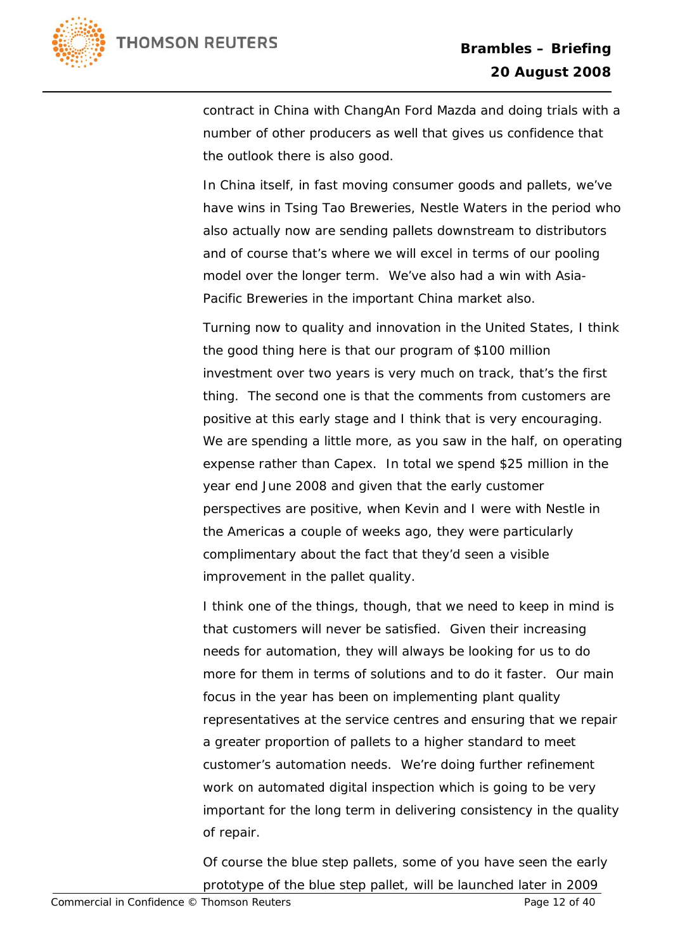

contract in China with ChangAn Ford Mazda and doing trials with a number of other producers as well that gives us confidence that the outlook there is also good.

In China itself, in fast moving consumer goods and pallets, we've have wins in Tsing Tao Breweries, Nestle Waters in the period who also actually now are sending pallets downstream to distributors and of course that's where we will excel in terms of our pooling model over the longer term. We've also had a win with Asia-Pacific Breweries in the important China market also.

Turning now to quality and innovation in the United States, I think the good thing here is that our program of \$100 million investment over two years is very much on track, that's the first thing. The second one is that the comments from customers are positive at this early stage and I think that is very encouraging. We are spending a little more, as you saw in the half, on operating expense rather than Capex. In total we spend \$25 million in the year end June 2008 and given that the early customer perspectives are positive, when Kevin and I were with Nestle in the Americas a couple of weeks ago, they were particularly complimentary about the fact that they'd seen a visible improvement in the pallet quality.

I think one of the things, though, that we need to keep in mind is that customers will never be satisfied. Given their increasing needs for automation, they will always be looking for us to do more for them in terms of solutions and to do it faster. Our main focus in the year has been on implementing plant quality representatives at the service centres and ensuring that we repair a greater proportion of pallets to a higher standard to meet customer's automation needs. We're doing further refinement work on automated digital inspection which is going to be very important for the long term in delivering consistency in the quality of repair.

Of course the blue step pallets, some of you have seen the early prototype of the blue step pallet, will be launched later in 2009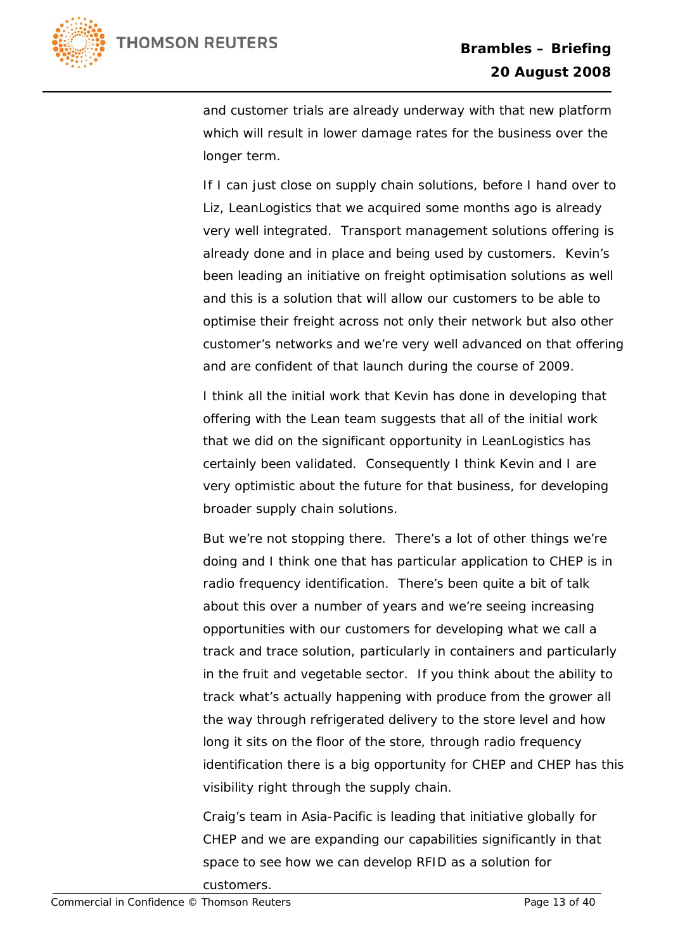

and customer trials are already underway with that new platform which will result in lower damage rates for the business over the longer term.

If I can just close on supply chain solutions, before I hand over to Liz, LeanLogistics that we acquired some months ago is already very well integrated. Transport management solutions offering is already done and in place and being used by customers. Kevin's been leading an initiative on freight optimisation solutions as well and this is a solution that will allow our customers to be able to optimise their freight across not only their network but also other customer's networks and we're very well advanced on that offering and are confident of that launch during the course of 2009.

I think all the initial work that Kevin has done in developing that offering with the Lean team suggests that all of the initial work that we did on the significant opportunity in LeanLogistics has certainly been validated. Consequently I think Kevin and I are very optimistic about the future for that business, for developing broader supply chain solutions.

But we're not stopping there. There's a lot of other things we're doing and I think one that has particular application to CHEP is in radio frequency identification. There's been quite a bit of talk about this over a number of years and we're seeing increasing opportunities with our customers for developing what we call a track and trace solution, particularly in containers and particularly in the fruit and vegetable sector. If you think about the ability to track what's actually happening with produce from the grower all the way through refrigerated delivery to the store level and how long it sits on the floor of the store, through radio frequency identification there is a big opportunity for CHEP and CHEP has this visibility right through the supply chain.

Craig's team in Asia-Pacific is leading that initiative globally for CHEP and we are expanding our capabilities significantly in that space to see how we can develop RFID as a solution for

customers.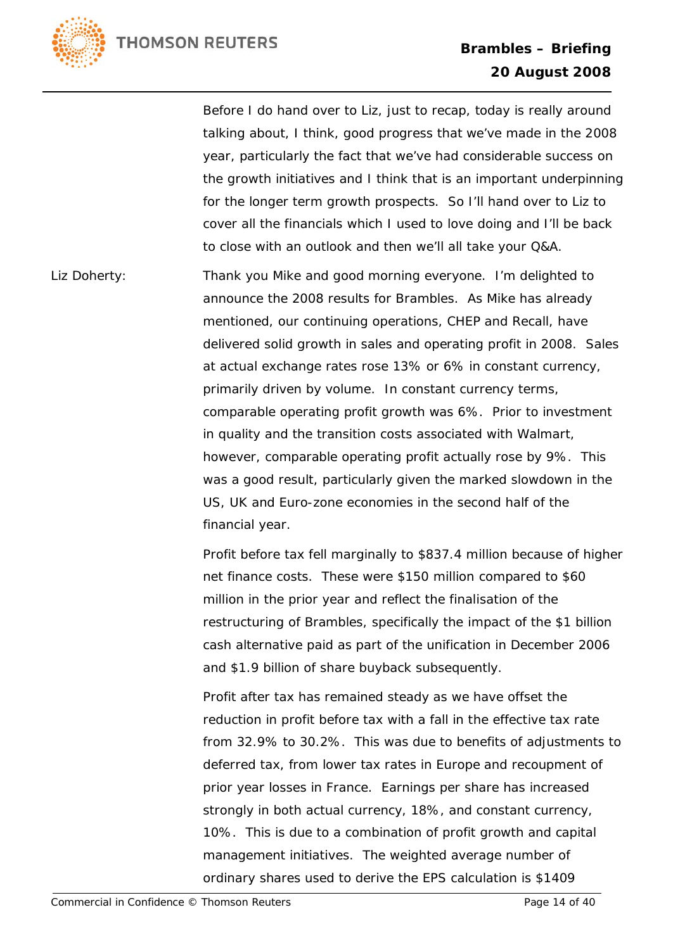

Before I do hand over to Liz, just to recap, today is really around talking about, I think, good progress that we've made in the 2008 year, particularly the fact that we've had considerable success on the growth initiatives and I think that is an important underpinning for the longer term growth prospects. So I'll hand over to Liz to cover all the financials which I used to love doing and I'll be back to close with an outlook and then we'll all take your Q&A.

Liz Doherty: Thank you Mike and good morning everyone. I'm delighted to announce the 2008 results for Brambles. As Mike has already mentioned, our continuing operations, CHEP and Recall, have delivered solid growth in sales and operating profit in 2008. Sales at actual exchange rates rose 13% or 6% in constant currency, primarily driven by volume. In constant currency terms, comparable operating profit growth was 6%. Prior to investment in quality and the transition costs associated with Walmart, however, comparable operating profit actually rose by 9%. This was a good result, particularly given the marked slowdown in the US, UK and Euro-zone economies in the second half of the financial year.

> Profit before tax fell marginally to \$837.4 million because of higher net finance costs. These were \$150 million compared to \$60 million in the prior year and reflect the finalisation of the restructuring of Brambles, specifically the impact of the \$1 billion cash alternative paid as part of the unification in December 2006 and \$1.9 billion of share buyback subsequently.

> Profit after tax has remained steady as we have offset the reduction in profit before tax with a fall in the effective tax rate from 32.9% to 30.2%. This was due to benefits of adjustments to deferred tax, from lower tax rates in Europe and recoupment of prior year losses in France. Earnings per share has increased strongly in both actual currency, 18%, and constant currency, 10%. This is due to a combination of profit growth and capital management initiatives. The weighted average number of ordinary shares used to derive the EPS calculation is \$1409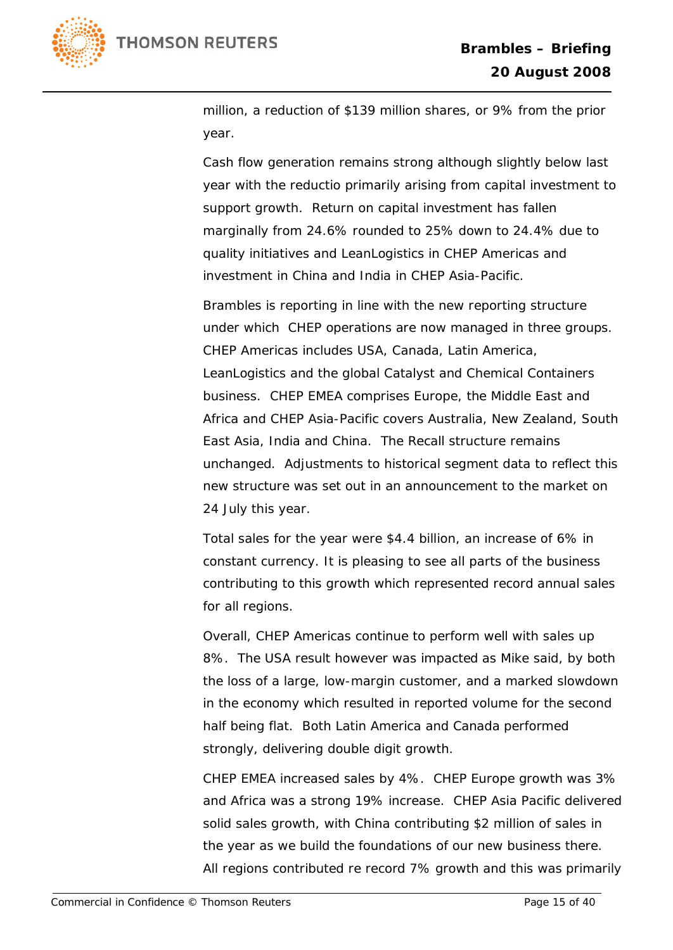

million, a reduction of \$139 million shares, or 9% from the prior year.

Cash flow generation remains strong although slightly below last year with the reductio primarily arising from capital investment to support growth. Return on capital investment has fallen marginally from 24.6% rounded to 25% down to 24.4% due to quality initiatives and LeanLogistics in CHEP Americas and investment in China and India in CHEP Asia-Pacific.

Brambles is reporting in line with the new reporting structure under which CHEP operations are now managed in three groups. CHEP Americas includes USA, Canada, Latin America, LeanLogistics and the global Catalyst and Chemical Containers business. CHEP EMEA comprises Europe, the Middle East and Africa and CHEP Asia-Pacific covers Australia, New Zealand, South East Asia, India and China. The Recall structure remains unchanged. Adjustments to historical segment data to reflect this new structure was set out in an announcement to the market on 24 July this year.

Total sales for the year were \$4.4 billion, an increase of 6% in constant currency. It is pleasing to see all parts of the business contributing to this growth which represented record annual sales for all regions.

Overall, CHEP Americas continue to perform well with sales up 8%. The USA result however was impacted as Mike said, by both the loss of a large, low-margin customer, and a marked slowdown in the economy which resulted in reported volume for the second half being flat. Both Latin America and Canada performed strongly, delivering double digit growth.

CHEP EMEA increased sales by 4%. CHEP Europe growth was 3% and Africa was a strong 19% increase. CHEP Asia Pacific delivered solid sales growth, with China contributing \$2 million of sales in the year as we build the foundations of our new business there. All regions contributed re record 7% growth and this was primarily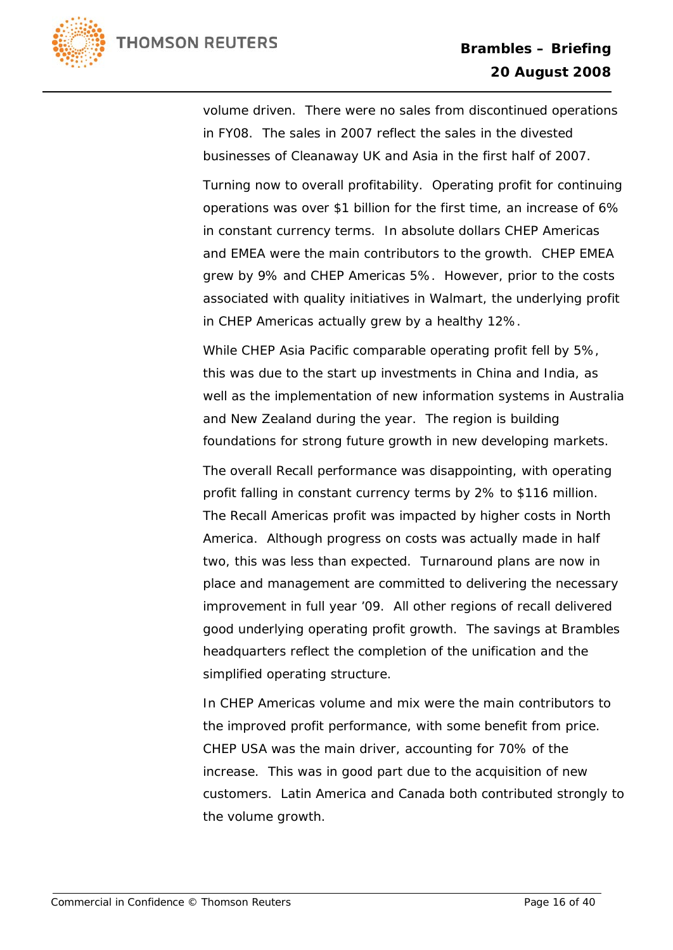

volume driven. There were no sales from discontinued operations in FY08. The sales in 2007 reflect the sales in the divested businesses of Cleanaway UK and Asia in the first half of 2007.

Turning now to overall profitability. Operating profit for continuing operations was over \$1 billion for the first time, an increase of 6% in constant currency terms. In absolute dollars CHEP Americas and EMEA were the main contributors to the growth. CHEP EMEA grew by 9% and CHEP Americas 5%. However, prior to the costs associated with quality initiatives in Walmart, the underlying profit in CHEP Americas actually grew by a healthy 12%.

While CHEP Asia Pacific comparable operating profit fell by 5%, this was due to the start up investments in China and India, as well as the implementation of new information systems in Australia and New Zealand during the year. The region is building foundations for strong future growth in new developing markets.

The overall Recall performance was disappointing, with operating profit falling in constant currency terms by 2% to \$116 million. The Recall Americas profit was impacted by higher costs in North America. Although progress on costs was actually made in half two, this was less than expected. Turnaround plans are now in place and management are committed to delivering the necessary improvement in full year '09. All other regions of recall delivered good underlying operating profit growth. The savings at Brambles headquarters reflect the completion of the unification and the simplified operating structure.

In CHEP Americas volume and mix were the main contributors to the improved profit performance, with some benefit from price. CHEP USA was the main driver, accounting for 70% of the increase. This was in good part due to the acquisition of new customers. Latin America and Canada both contributed strongly to the volume growth.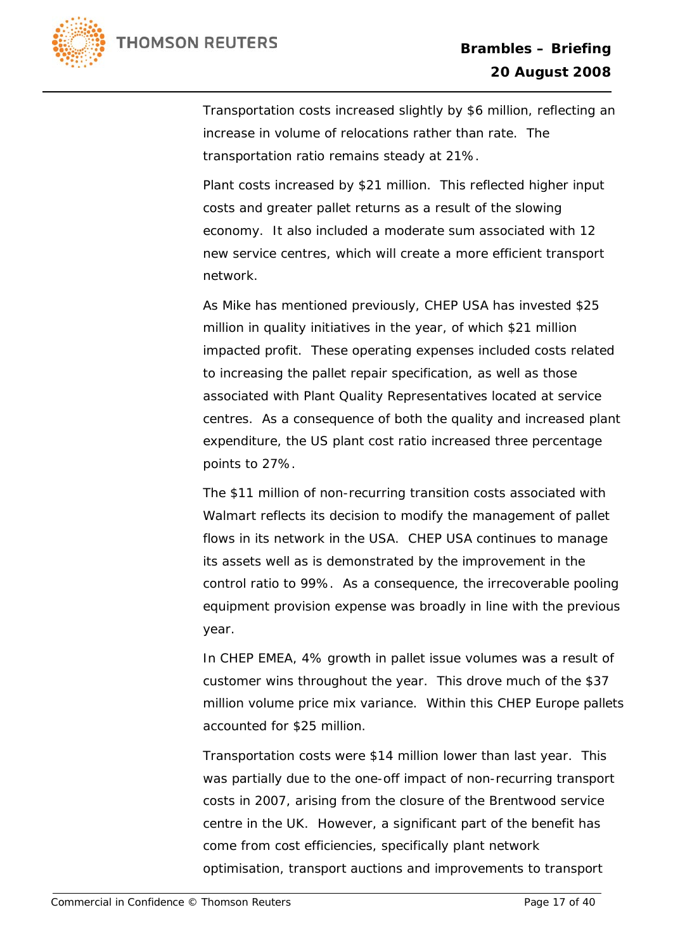

Transportation costs increased slightly by \$6 million, reflecting an increase in volume of relocations rather than rate. The transportation ratio remains steady at 21%.

Plant costs increased by \$21 million. This reflected higher input costs and greater pallet returns as a result of the slowing economy. It also included a moderate sum associated with 12 new service centres, which will create a more efficient transport network.

As Mike has mentioned previously, CHEP USA has invested \$25 million in quality initiatives in the year, of which \$21 million impacted profit. These operating expenses included costs related to increasing the pallet repair specification, as well as those associated with Plant Quality Representatives located at service centres. As a consequence of both the quality and increased plant expenditure, the US plant cost ratio increased three percentage points to 27%.

The \$11 million of non-recurring transition costs associated with Walmart reflects its decision to modify the management of pallet flows in its network in the USA. CHEP USA continues to manage its assets well as is demonstrated by the improvement in the control ratio to 99%. As a consequence, the irrecoverable pooling equipment provision expense was broadly in line with the previous year.

In CHEP EMEA, 4% growth in pallet issue volumes was a result of customer wins throughout the year. This drove much of the \$37 million volume price mix variance. Within this CHEP Europe pallets accounted for \$25 million.

Transportation costs were \$14 million lower than last year. This was partially due to the one-off impact of non-recurring transport costs in 2007, arising from the closure of the Brentwood service centre in the UK. However, a significant part of the benefit has come from cost efficiencies, specifically plant network optimisation, transport auctions and improvements to transport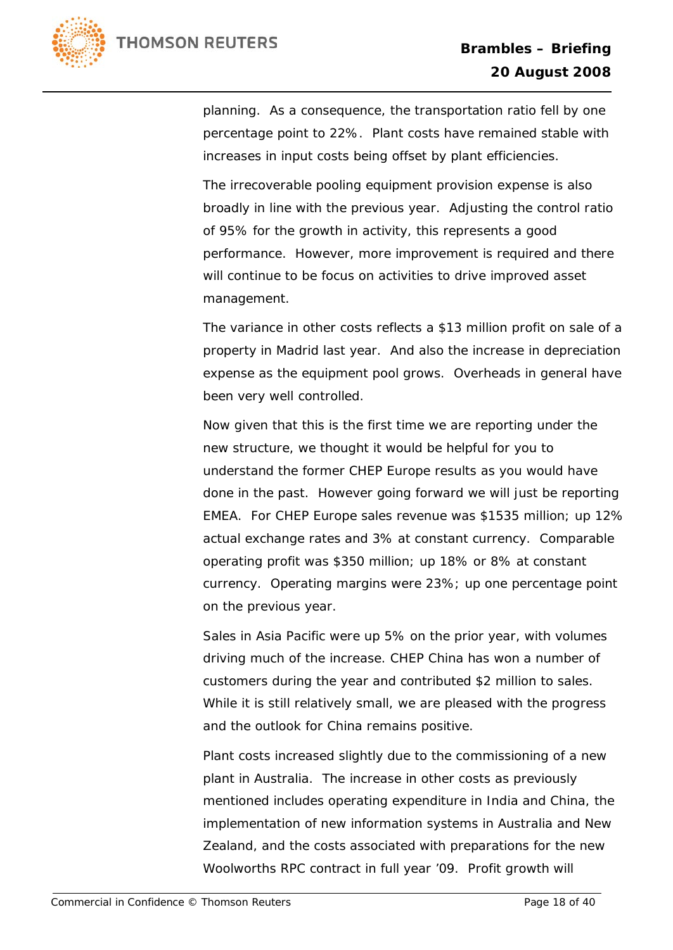

planning. As a consequence, the transportation ratio fell by one percentage point to 22%. Plant costs have remained stable with increases in input costs being offset by plant efficiencies.

The irrecoverable pooling equipment provision expense is also broadly in line with the previous year. Adjusting the control ratio of 95% for the growth in activity, this represents a good performance. However, more improvement is required and there will continue to be focus on activities to drive improved asset management.

The variance in other costs reflects a \$13 million profit on sale of a property in Madrid last year. And also the increase in depreciation expense as the equipment pool grows. Overheads in general have been very well controlled.

Now given that this is the first time we are reporting under the new structure, we thought it would be helpful for you to understand the former CHEP Europe results as you would have done in the past. However going forward we will just be reporting EMEA. For CHEP Europe sales revenue was \$1535 million; up 12% actual exchange rates and 3% at constant currency. Comparable operating profit was \$350 million; up 18% or 8% at constant currency. Operating margins were 23%; up one percentage point on the previous year.

Sales in Asia Pacific were up 5% on the prior year, with volumes driving much of the increase. CHEP China has won a number of customers during the year and contributed \$2 million to sales. While it is still relatively small, we are pleased with the progress and the outlook for China remains positive.

Plant costs increased slightly due to the commissioning of a new plant in Australia. The increase in other costs as previously mentioned includes operating expenditure in India and China, the implementation of new information systems in Australia and New Zealand, and the costs associated with preparations for the new Woolworths RPC contract in full year '09. Profit growth will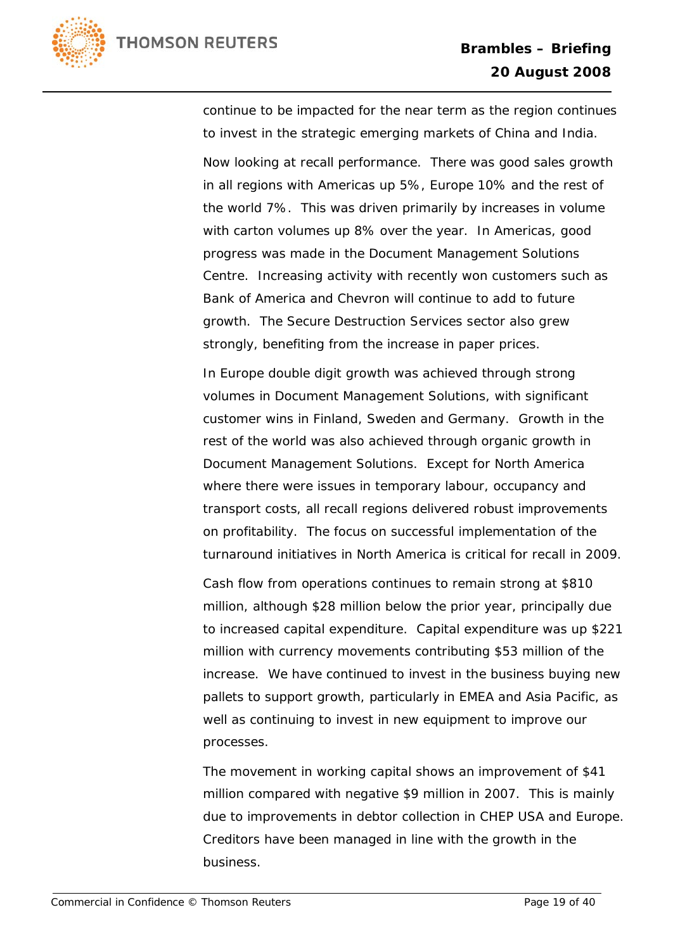

continue to be impacted for the near term as the region continues to invest in the strategic emerging markets of China and India.

Now looking at recall performance. There was good sales growth in all regions with Americas up 5%, Europe 10% and the rest of the world 7%. This was driven primarily by increases in volume with carton volumes up 8% over the year. In Americas, good progress was made in the Document Management Solutions Centre. Increasing activity with recently won customers such as Bank of America and Chevron will continue to add to future growth. The Secure Destruction Services sector also grew strongly, benefiting from the increase in paper prices.

In Europe double digit growth was achieved through strong volumes in Document Management Solutions, with significant customer wins in Finland, Sweden and Germany. Growth in the rest of the world was also achieved through organic growth in Document Management Solutions. Except for North America where there were issues in temporary labour, occupancy and transport costs, all recall regions delivered robust improvements on profitability. The focus on successful implementation of the turnaround initiatives in North America is critical for recall in 2009.

Cash flow from operations continues to remain strong at \$810 million, although \$28 million below the prior year, principally due to increased capital expenditure. Capital expenditure was up \$221 million with currency movements contributing \$53 million of the increase. We have continued to invest in the business buying new pallets to support growth, particularly in EMEA and Asia Pacific, as well as continuing to invest in new equipment to improve our processes.

The movement in working capital shows an improvement of \$41 million compared with negative \$9 million in 2007. This is mainly due to improvements in debtor collection in CHEP USA and Europe. Creditors have been managed in line with the growth in the business.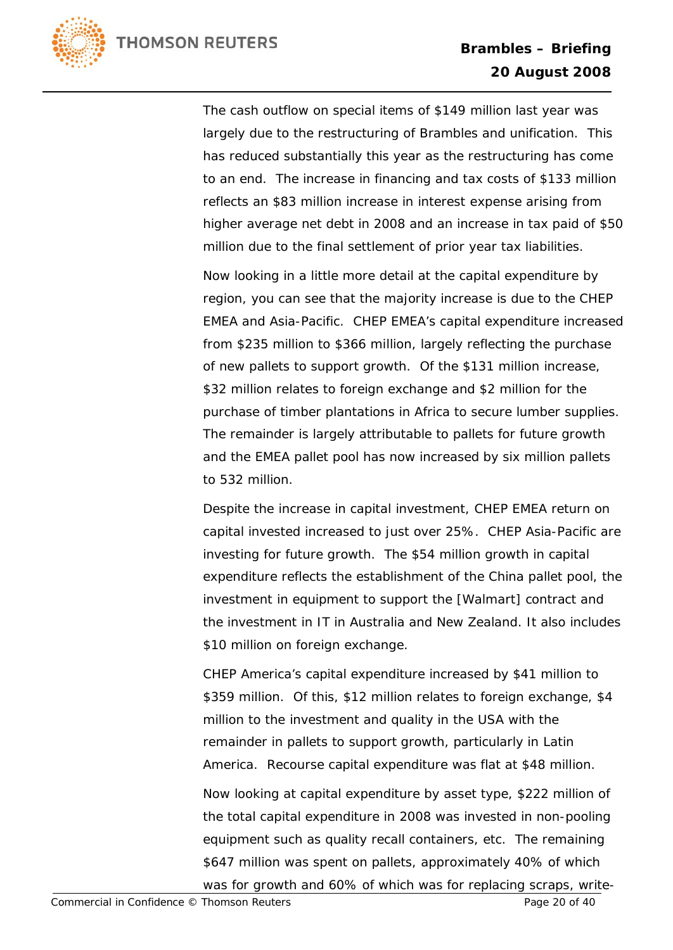

The cash outflow on special items of \$149 million last year was largely due to the restructuring of Brambles and unification. This has reduced substantially this year as the restructuring has come to an end. The increase in financing and tax costs of \$133 million reflects an \$83 million increase in interest expense arising from higher average net debt in 2008 and an increase in tax paid of \$50 million due to the final settlement of prior year tax liabilities.

Now looking in a little more detail at the capital expenditure by region, you can see that the majority increase is due to the CHEP EMEA and Asia-Pacific. CHEP EMEA's capital expenditure increased from \$235 million to \$366 million, largely reflecting the purchase of new pallets to support growth. Of the \$131 million increase, \$32 million relates to foreign exchange and \$2 million for the purchase of timber plantations in Africa to secure lumber supplies. The remainder is largely attributable to pallets for future growth and the EMEA pallet pool has now increased by six million pallets to 532 million.

Despite the increase in capital investment, CHEP EMEA return on capital invested increased to just over 25%. CHEP Asia-Pacific are investing for future growth. The \$54 million growth in capital expenditure reflects the establishment of the China pallet pool, the investment in equipment to support the [Walmart] contract and the investment in IT in Australia and New Zealand. It also includes \$10 million on foreign exchange.

CHEP America's capital expenditure increased by \$41 million to \$359 million. Of this, \$12 million relates to foreign exchange, \$4 million to the investment and quality in the USA with the remainder in pallets to support growth, particularly in Latin America. Recourse capital expenditure was flat at \$48 million.

Now looking at capital expenditure by asset type, \$222 million of the total capital expenditure in 2008 was invested in non-pooling equipment such as quality recall containers, etc. The remaining \$647 million was spent on pallets, approximately 40% of which was for growth and 60% of which was for replacing scraps, write-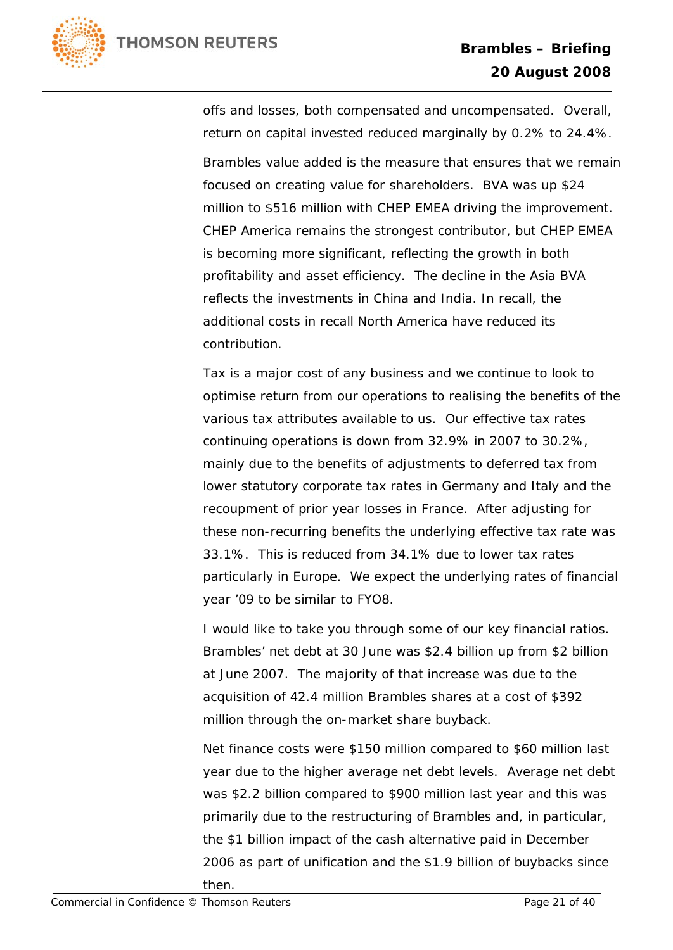

Brambles value added is the measure that ensures that we remain focused on creating value for shareholders. BVA was up \$24 million to \$516 million with CHEP EMEA driving the improvement. CHEP America remains the strongest contributor, but CHEP EMEA is becoming more significant, reflecting the growth in both profitability and asset efficiency. The decline in the Asia BVA reflects the investments in China and India. In recall, the additional costs in recall North America have reduced its contribution.

Tax is a major cost of any business and we continue to look to optimise return from our operations to realising the benefits of the various tax attributes available to us. Our effective tax rates continuing operations is down from 32.9% in 2007 to 30.2%, mainly due to the benefits of adjustments to deferred tax from lower statutory corporate tax rates in Germany and Italy and the recoupment of prior year losses in France. After adjusting for these non-recurring benefits the underlying effective tax rate was 33.1%. This is reduced from 34.1% due to lower tax rates particularly in Europe. We expect the underlying rates of financial year '09 to be similar to FYO8.

I would like to take you through some of our key financial ratios. Brambles' net debt at 30 June was \$2.4 billion up from \$2 billion at June 2007. The majority of that increase was due to the acquisition of 42.4 million Brambles shares at a cost of \$392 million through the on-market share buyback.

Net finance costs were \$150 million compared to \$60 million last year due to the higher average net debt levels. Average net debt was \$2.2 billion compared to \$900 million last year and this was primarily due to the restructuring of Brambles and, in particular, the \$1 billion impact of the cash alternative paid in December 2006 as part of unification and the \$1.9 billion of buybacks since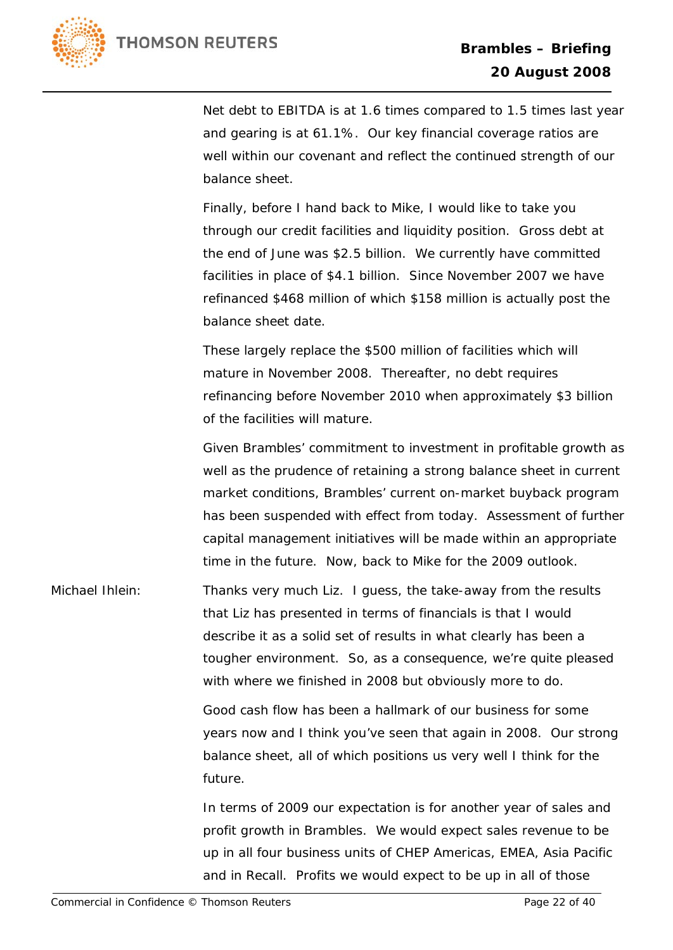

Net debt to EBITDA is at 1.6 times compared to 1.5 times last year and gearing is at 61.1%. Our key financial coverage ratios are well within our covenant and reflect the continued strength of our balance sheet.

Finally, before I hand back to Mike, I would like to take you through our credit facilities and liquidity position. Gross debt at the end of June was \$2.5 billion. We currently have committed facilities in place of \$4.1 billion. Since November 2007 we have refinanced \$468 million of which \$158 million is actually post the balance sheet date.

These largely replace the \$500 million of facilities which will mature in November 2008. Thereafter, no debt requires refinancing before November 2010 when approximately \$3 billion of the facilities will mature.

Given Brambles' commitment to investment in profitable growth as well as the prudence of retaining a strong balance sheet in current market conditions, Brambles' current on-market buyback program has been suspended with effect from today. Assessment of further capital management initiatives will be made within an appropriate time in the future. Now, back to Mike for the 2009 outlook.

Michael Ihlein: Thanks very much Liz. I guess, the take-away from the results that Liz has presented in terms of financials is that I would describe it as a solid set of results in what clearly has been a tougher environment. So, as a consequence, we're quite pleased with where we finished in 2008 but obviously more to do.

> Good cash flow has been a hallmark of our business for some years now and I think you've seen that again in 2008. Our strong balance sheet, all of which positions us very well I think for the future.

In terms of 2009 our expectation is for another year of sales and profit growth in Brambles. We would expect sales revenue to be up in all four business units of CHEP Americas, EMEA, Asia Pacific and in Recall. Profits we would expect to be up in all of those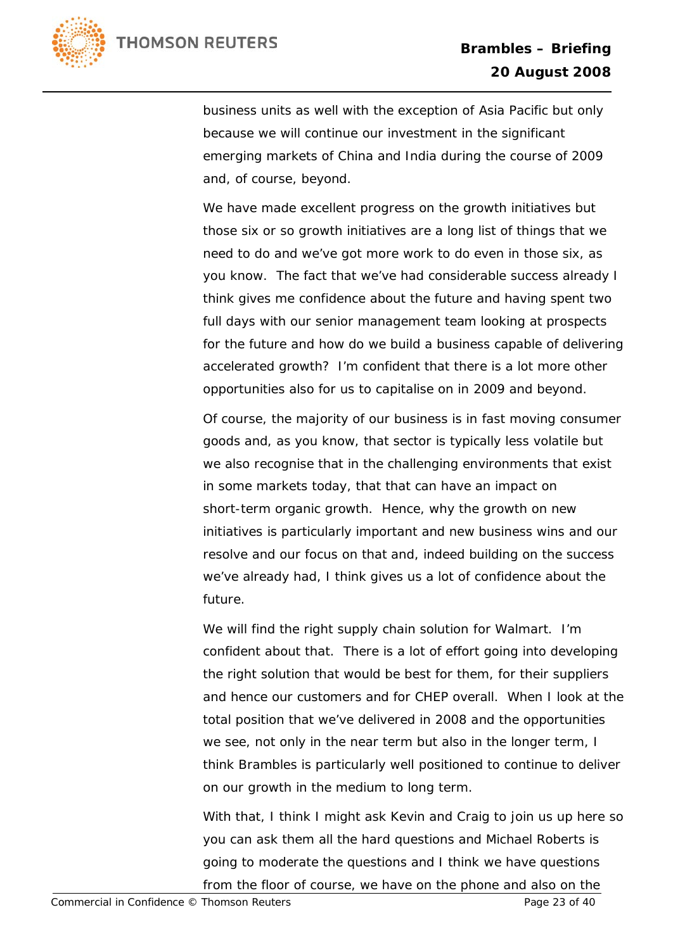

business units as well with the exception of Asia Pacific but only because we will continue our investment in the significant emerging markets of China and India during the course of 2009 and, of course, beyond.

We have made excellent progress on the growth initiatives but those six or so growth initiatives are a long list of things that we need to do and we've got more work to do even in those six, as you know. The fact that we've had considerable success already I think gives me confidence about the future and having spent two full days with our senior management team looking at prospects for the future and how do we build a business capable of delivering accelerated growth? I'm confident that there is a lot more other opportunities also for us to capitalise on in 2009 and beyond.

Of course, the majority of our business is in fast moving consumer goods and, as you know, that sector is typically less volatile but we also recognise that in the challenging environments that exist in some markets today, that that can have an impact on short-term organic growth. Hence, why the growth on new initiatives is particularly important and new business wins and our resolve and our focus on that and, indeed building on the success we've already had, I think gives us a lot of confidence about the future.

We will find the right supply chain solution for Walmart. I'm confident about that. There is a lot of effort going into developing the right solution that would be best for them, for their suppliers and hence our customers and for CHEP overall. When I look at the total position that we've delivered in 2008 and the opportunities we see, not only in the near term but also in the longer term, I think Brambles is particularly well positioned to continue to deliver on our growth in the medium to long term.

With that, I think I might ask Kevin and Craig to join us up here so you can ask them all the hard questions and Michael Roberts is going to moderate the questions and I think we have questions from the floor of course, we have on the phone and also on the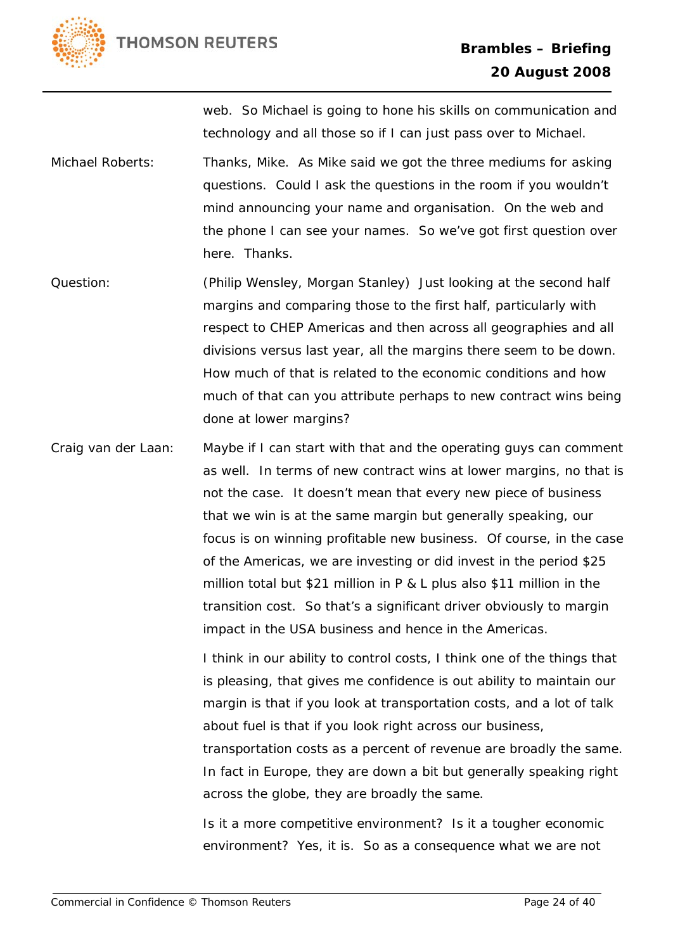

web. So Michael is going to hone his skills on communication and technology and all those so if I can just pass over to Michael.

Michael Roberts: Thanks, Mike. As Mike said we got the three mediums for asking questions. Could I ask the questions in the room if you wouldn't mind announcing your name and organisation. On the web and the phone I can see your names. So we've got first question over here. Thanks.

Question: (Philip Wensley, Morgan Stanley) Just looking at the second half margins and comparing those to the first half, particularly with respect to CHEP Americas and then across all geographies and all divisions versus last year, all the margins there seem to be down. How much of that is related to the economic conditions and how much of that can you attribute perhaps to new contract wins being done at lower margins?

Craig van der Laan: Maybe if I can start with that and the operating guys can comment as well. In terms of new contract wins at lower margins, no that is not the case. It doesn't mean that every new piece of business that we win is at the same margin but generally speaking, our focus is on winning profitable new business. Of course, in the case of the Americas, we are investing or did invest in the period \$25 million total but \$21 million in P & L plus also \$11 million in the transition cost. So that's a significant driver obviously to margin impact in the USA business and hence in the Americas.

> I think in our ability to control costs, I think one of the things that is pleasing, that gives me confidence is out ability to maintain our margin is that if you look at transportation costs, and a lot of talk about fuel is that if you look right across our business, transportation costs as a percent of revenue are broadly the same. In fact in Europe, they are down a bit but generally speaking right across the globe, they are broadly the same.

Is it a more competitive environment? Is it a tougher economic environment? Yes, it is. So as a consequence what we are not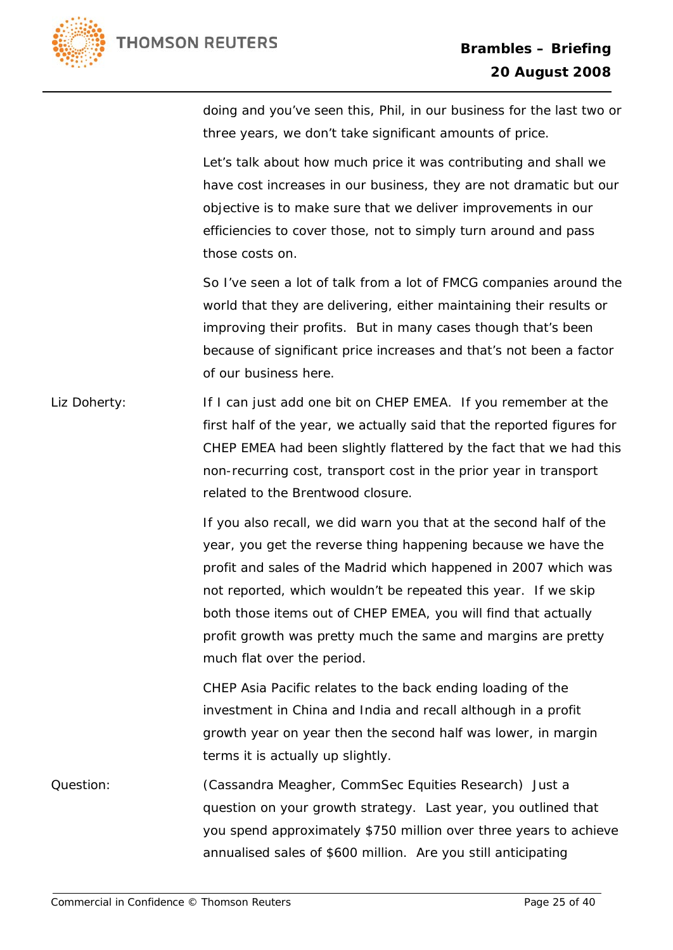

doing and you've seen this, Phil, in our business for the last two or three years, we don't take significant amounts of price.

Let's talk about how much price it was contributing and shall we have cost increases in our business, they are not dramatic but our objective is to make sure that we deliver improvements in our efficiencies to cover those, not to simply turn around and pass those costs on.

So I've seen a lot of talk from a lot of FMCG companies around the world that they are delivering, either maintaining their results or improving their profits. But in many cases though that's been because of significant price increases and that's not been a factor of our business here.

Liz Doherty: If I can just add one bit on CHEP EMEA. If you remember at the first half of the year, we actually said that the reported figures for CHEP EMEA had been slightly flattered by the fact that we had this non-recurring cost, transport cost in the prior year in transport related to the Brentwood closure.

> If you also recall, we did warn you that at the second half of the year, you get the reverse thing happening because we have the profit and sales of the Madrid which happened in 2007 which was not reported, which wouldn't be repeated this year. If we skip both those items out of CHEP EMEA, you will find that actually profit growth was pretty much the same and margins are pretty much flat over the period.

CHEP Asia Pacific relates to the back ending loading of the investment in China and India and recall although in a profit growth year on year then the second half was lower, in margin terms it is actually up slightly.

Question: (Cassandra Meagher, CommSec Equities Research) Just a question on your growth strategy. Last year, you outlined that you spend approximately \$750 million over three years to achieve annualised sales of \$600 million. Are you still anticipating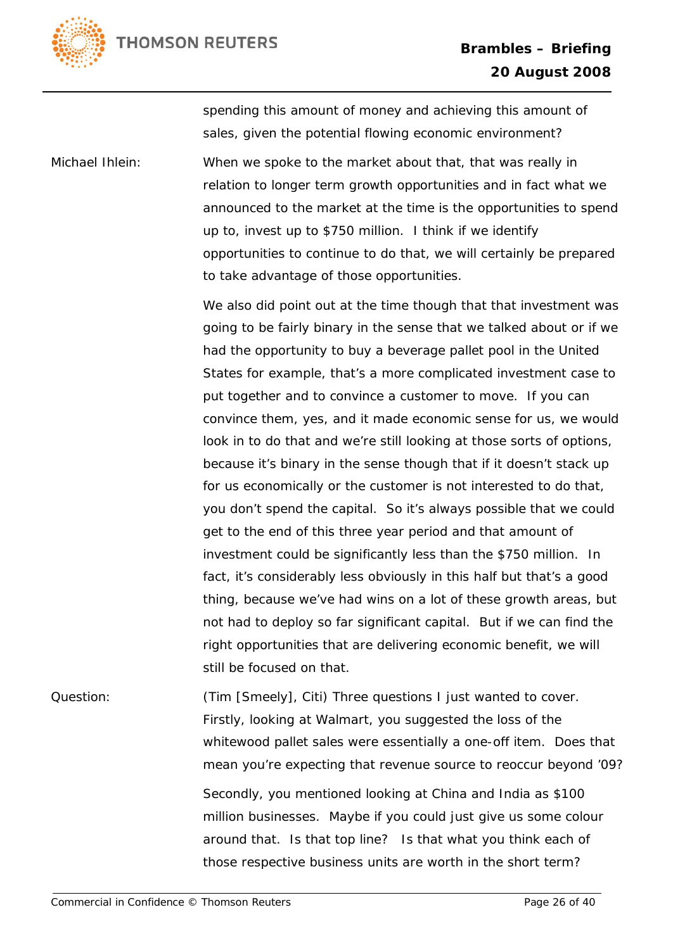

spending this amount of money and achieving this amount of sales, given the potential flowing economic environment?

Michael Ihlein: When we spoke to the market about that, that was really in relation to longer term growth opportunities and in fact what we announced to the market at the time is the opportunities to spend up to, invest up to \$750 million. I think if we identify opportunities to continue to do that, we will certainly be prepared to take advantage of those opportunities.

> We also did point out at the time though that that investment was going to be fairly binary in the sense that we talked about or if we had the opportunity to buy a beverage pallet pool in the United States for example, that's a more complicated investment case to put together and to convince a customer to move. If you can convince them, yes, and it made economic sense for us, we would look in to do that and we're still looking at those sorts of options, because it's binary in the sense though that if it doesn't stack up for us economically or the customer is not interested to do that, you don't spend the capital. So it's always possible that we could get to the end of this three year period and that amount of investment could be significantly less than the \$750 million. In fact, it's considerably less obviously in this half but that's a good thing, because we've had wins on a lot of these growth areas, but not had to deploy so far significant capital. But if we can find the right opportunities that are delivering economic benefit, we will still be focused on that.

Question: (Tim [Smeely], Citi) Three questions I just wanted to cover. Firstly, looking at Walmart, you suggested the loss of the whitewood pallet sales were essentially a one-off item. Does that mean you're expecting that revenue source to reoccur beyond '09? Secondly, you mentioned looking at China and India as \$100 million businesses. Maybe if you could just give us some colour around that. Is that top line? Is that what you think each of those respective business units are worth in the short term?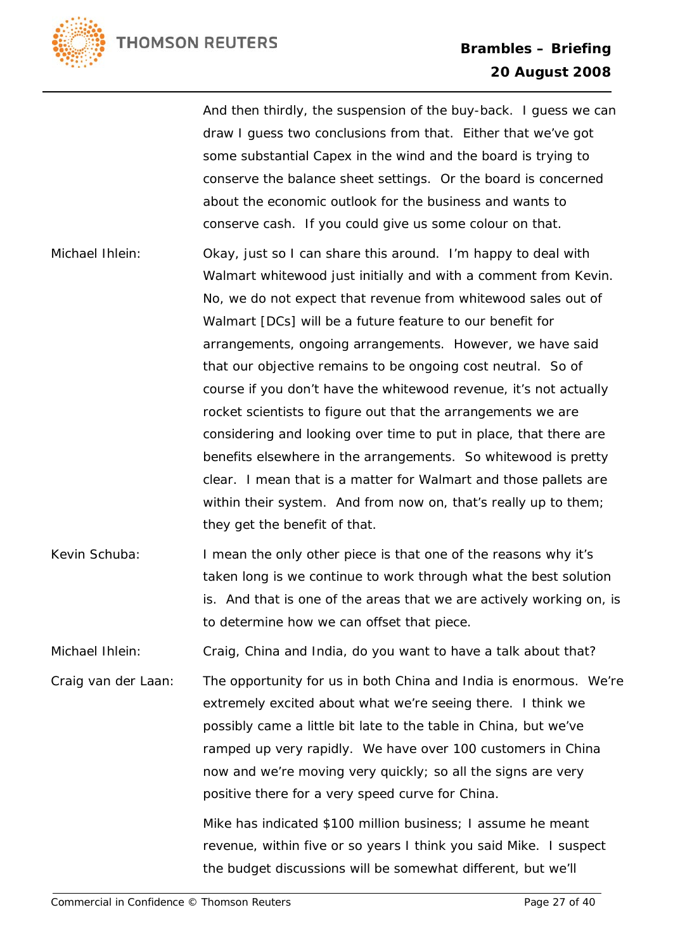

And then thirdly, the suspension of the buy-back. I guess we can draw I guess two conclusions from that. Either that we've got some substantial Capex in the wind and the board is trying to conserve the balance sheet settings. Or the board is concerned about the economic outlook for the business and wants to conserve cash. If you could give us some colour on that. Michael Ihlein: Okay, just so I can share this around. I'm happy to deal with Walmart whitewood just initially and with a comment from Kevin. No, we do not expect that revenue from whitewood sales out of Walmart [DCs] will be a future feature to our benefit for arrangements, ongoing arrangements. However, we have said that our objective remains to be ongoing cost neutral. So of course if you don't have the whitewood revenue, it's not actually rocket scientists to figure out that the arrangements we are considering and looking over time to put in place, that there are benefits elsewhere in the arrangements. So whitewood is pretty clear. I mean that is a matter for Walmart and those pallets are within their system. And from now on, that's really up to them; they get the benefit of that. Kevin Schuba: I mean the only other piece is that one of the reasons why it's taken long is we continue to work through what the best solution is. And that is one of the areas that we are actively working on, is to determine how we can offset that piece. Michael Ihlein: Craig, China and India, do you want to have a talk about that? Craig van der Laan: The opportunity for us in both China and India is enormous. We're extremely excited about what we're seeing there. I think we possibly came a little bit late to the table in China, but we've ramped up very rapidly. We have over 100 customers in China now and we're moving very quickly; so all the signs are very positive there for a very speed curve for China. Mike has indicated \$100 million business; I assume he meant revenue, within five or so years I think you said Mike. I suspect the budget discussions will be somewhat different, but we'll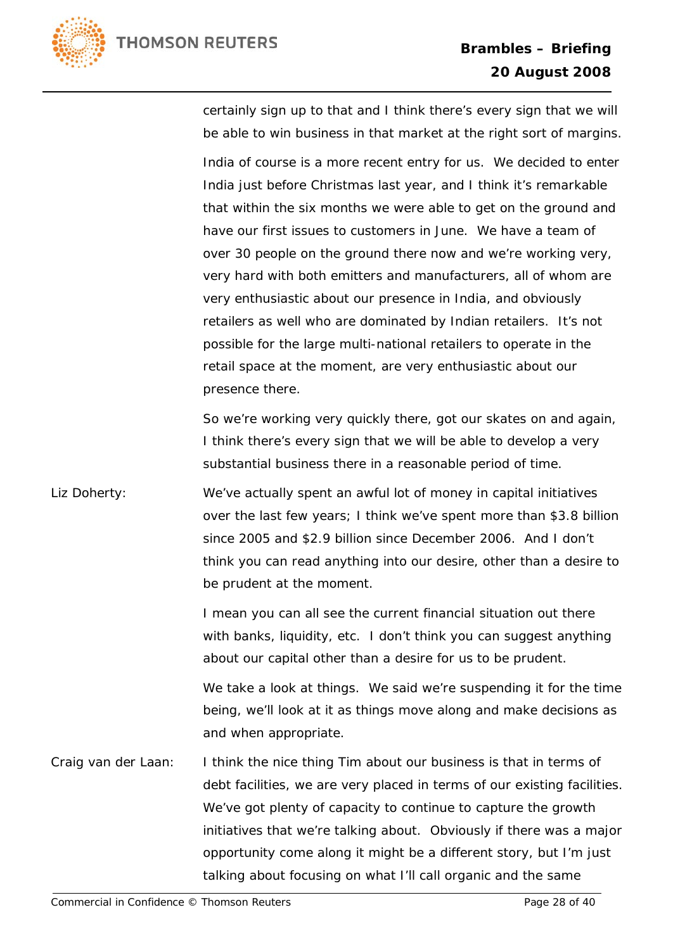

certainly sign up to that and I think there's every sign that we will be able to win business in that market at the right sort of margins.

India of course is a more recent entry for us. We decided to enter India just before Christmas last year, and I think it's remarkable that within the six months we were able to get on the ground and have our first issues to customers in June. We have a team of over 30 people on the ground there now and we're working very, very hard with both emitters and manufacturers, all of whom are very enthusiastic about our presence in India, and obviously retailers as well who are dominated by Indian retailers. It's not possible for the large multi-national retailers to operate in the retail space at the moment, are very enthusiastic about our presence there.

So we're working very quickly there, got our skates on and again, I think there's every sign that we will be able to develop a very substantial business there in a reasonable period of time.

Liz Doherty: We've actually spent an awful lot of money in capital initiatives over the last few years; I think we've spent more than \$3.8 billion since 2005 and \$2.9 billion since December 2006. And I don't think you can read anything into our desire, other than a desire to be prudent at the moment.

> I mean you can all see the current financial situation out there with banks, liquidity, etc. I don't think you can suggest anything about our capital other than a desire for us to be prudent.

We take a look at things. We said we're suspending it for the time being, we'll look at it as things move along and make decisions as and when appropriate.

Craig van der Laan: I think the nice thing Tim about our business is that in terms of debt facilities, we are very placed in terms of our existing facilities. We've got plenty of capacity to continue to capture the growth initiatives that we're talking about. Obviously if there was a major opportunity come along it might be a different story, but I'm just talking about focusing on what I'll call organic and the same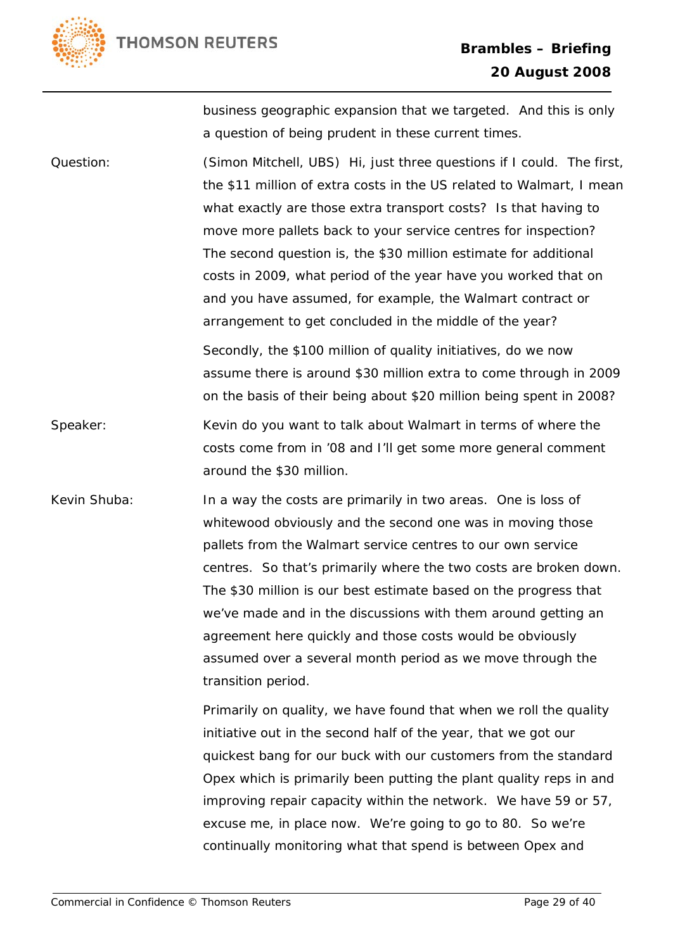

business geographic expansion that we targeted. And this is only a question of being prudent in these current times.

Question: (Simon Mitchell, UBS) Hi, just three questions if I could. The first, the \$11 million of extra costs in the US related to Walmart, I mean what exactly are those extra transport costs? Is that having to move more pallets back to your service centres for inspection? The second question is, the \$30 million estimate for additional costs in 2009, what period of the year have you worked that on and you have assumed, for example, the Walmart contract or arrangement to get concluded in the middle of the year?

> Secondly, the \$100 million of quality initiatives, do we now assume there is around \$30 million extra to come through in 2009 on the basis of their being about \$20 million being spent in 2008?

Speaker: Kevin do you want to talk about Walmart in terms of where the costs come from in '08 and I'll get some more general comment around the \$30 million.

Kevin Shuba: In a way the costs are primarily in two areas. One is loss of whitewood obviously and the second one was in moving those pallets from the Walmart service centres to our own service centres. So that's primarily where the two costs are broken down. The \$30 million is our best estimate based on the progress that we've made and in the discussions with them around getting an agreement here quickly and those costs would be obviously assumed over a several month period as we move through the transition period.

> Primarily on quality, we have found that when we roll the quality initiative out in the second half of the year, that we got our quickest bang for our buck with our customers from the standard Opex which is primarily been putting the plant quality reps in and improving repair capacity within the network. We have 59 or 57, excuse me, in place now. We're going to go to 80. So we're continually monitoring what that spend is between Opex and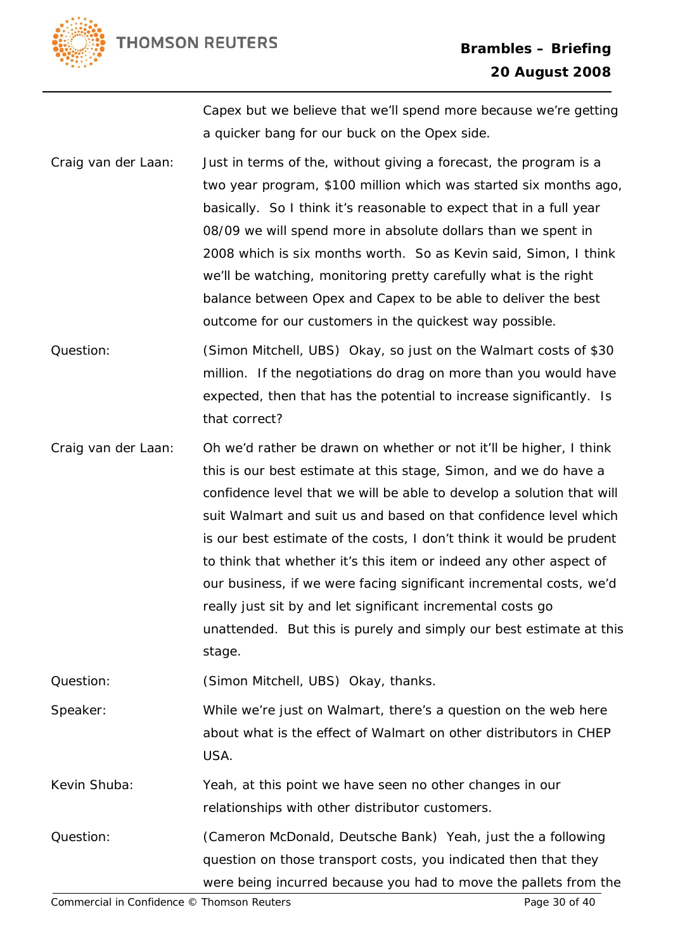

Capex but we believe that we'll spend more because we're getting a quicker bang for our buck on the Opex side.

Craig van der Laan: Just in terms of the, without giving a forecast, the program is a two year program, \$100 million which was started six months ago, basically. So I think it's reasonable to expect that in a full year 08/09 we will spend more in absolute dollars than we spent in 2008 which is six months worth. So as Kevin said, Simon, I think we'll be watching, monitoring pretty carefully what is the right balance between Opex and Capex to be able to deliver the best outcome for our customers in the quickest way possible.

Question: (Simon Mitchell, UBS) Okay, so just on the Walmart costs of \$30 million. If the negotiations do drag on more than you would have expected, then that has the potential to increase significantly. Is that correct?

Craig van der Laan: Oh we'd rather be drawn on whether or not it'll be higher, I think this is our best estimate at this stage, Simon, and we do have a confidence level that we will be able to develop a solution that will suit Walmart and suit us and based on that confidence level which is our best estimate of the costs, I don't think it would be prudent to think that whether it's this item or indeed any other aspect of our business, if we were facing significant incremental costs, we'd really just sit by and let significant incremental costs go unattended. But this is purely and simply our best estimate at this stage.

Question: (Simon Mitchell, UBS) Okay, thanks.

Speaker: While we're just on Walmart, there's a question on the web here about what is the effect of Walmart on other distributors in CHEP USA.

Kevin Shuba: Yeah, at this point we have seen no other changes in our relationships with other distributor customers.

Question: (Cameron McDonald, Deutsche Bank) Yeah, just the a following question on those transport costs, you indicated then that they were being incurred because you had to move the pallets from the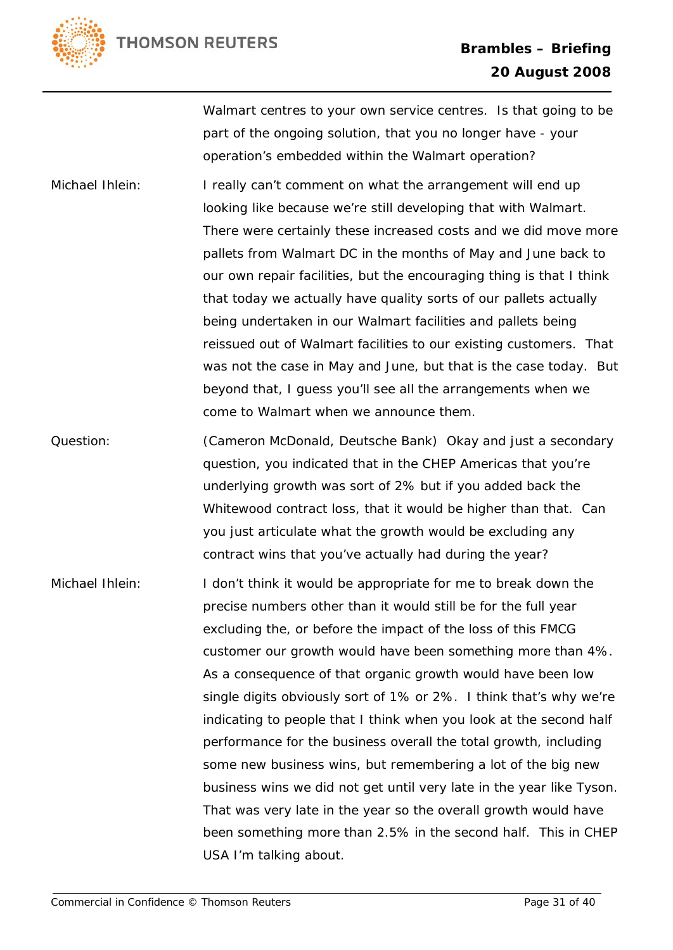

Walmart centres to your own service centres. Is that going to be part of the ongoing solution, that you no longer have - your operation's embedded within the Walmart operation?

Michael Ihlein: I really can't comment on what the arrangement will end up looking like because we're still developing that with Walmart. There were certainly these increased costs and we did move more pallets from Walmart DC in the months of May and June back to our own repair facilities, but the encouraging thing is that I think that today we actually have quality sorts of our pallets actually being undertaken in our Walmart facilities and pallets being reissued out of Walmart facilities to our existing customers. That was not the case in May and June, but that is the case today. But beyond that, I guess you'll see all the arrangements when we come to Walmart when we announce them.

Question: (Cameron McDonald, Deutsche Bank) Okay and just a secondary question, you indicated that in the CHEP Americas that you're underlying growth was sort of 2% but if you added back the Whitewood contract loss, that it would be higher than that. Can you just articulate what the growth would be excluding any contract wins that you've actually had during the year?

Michael Ihlein: I don't think it would be appropriate for me to break down the precise numbers other than it would still be for the full year excluding the, or before the impact of the loss of this FMCG customer our growth would have been something more than 4%. As a consequence of that organic growth would have been low single digits obviously sort of 1% or 2%. I think that's why we're indicating to people that I think when you look at the second half performance for the business overall the total growth, including some new business wins, but remembering a lot of the big new business wins we did not get until very late in the year like Tyson. That was very late in the year so the overall growth would have been something more than 2.5% in the second half. This in CHEP USA I'm talking about.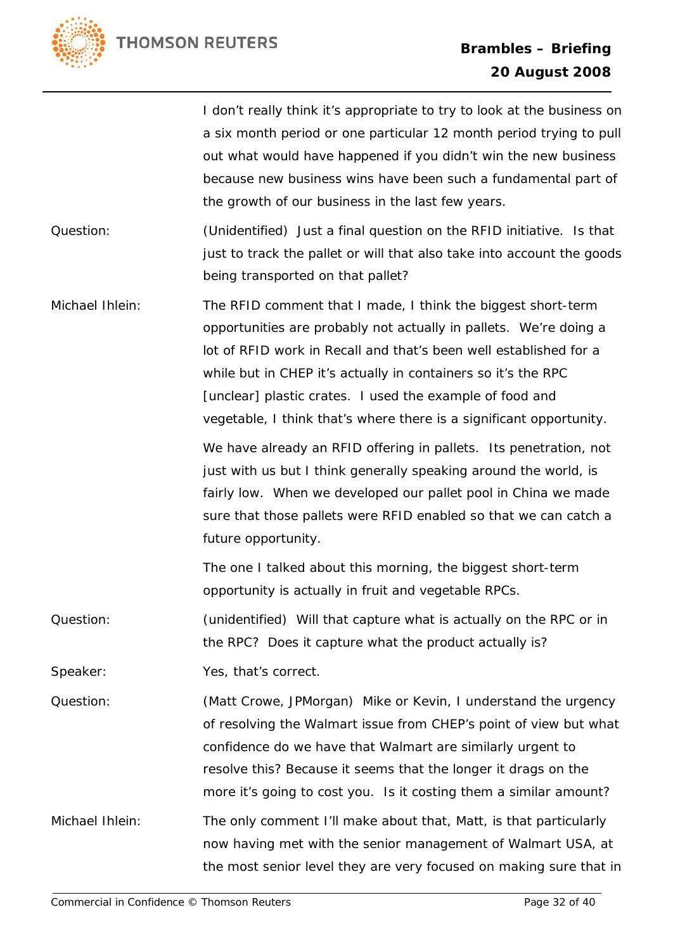

|                 | I don't really think it's appropriate to try to look at the business on<br>a six month period or one particular 12 month period trying to pull<br>out what would have happened if you didn't win the new business<br>because new business wins have been such a fundamental part of<br>the growth of our business in the last few years.                                                                   |
|-----------------|------------------------------------------------------------------------------------------------------------------------------------------------------------------------------------------------------------------------------------------------------------------------------------------------------------------------------------------------------------------------------------------------------------|
| Question:       | (Unidentified) Just a final question on the RFID initiative. Is that<br>just to track the pallet or will that also take into account the goods<br>being transported on that pallet?                                                                                                                                                                                                                        |
| Michael Ihlein: | The RFID comment that I made, I think the biggest short-term<br>opportunities are probably not actually in pallets. We're doing a<br>lot of RFID work in Recall and that's been well established for a<br>while but in CHEP it's actually in containers so it's the RPC<br>[unclear] plastic crates. I used the example of food and<br>vegetable, I think that's where there is a significant opportunity. |
|                 | We have already an RFID offering in pallets. Its penetration, not<br>just with us but I think generally speaking around the world, is<br>fairly low. When we developed our pallet pool in China we made<br>sure that those pallets were RFID enabled so that we can catch a<br>future opportunity.                                                                                                         |
|                 | The one I talked about this morning, the biggest short-term<br>opportunity is actually in fruit and vegetable RPCs.                                                                                                                                                                                                                                                                                        |
| Question:       | (unidentified) Will that capture what is actually on the RPC or in<br>the RPC? Does it capture what the product actually is?                                                                                                                                                                                                                                                                               |
| Speaker:        | Yes, that's correct.                                                                                                                                                                                                                                                                                                                                                                                       |
| Question:       | (Matt Crowe, JPMorgan) Mike or Kevin, I understand the urgency<br>of resolving the Walmart issue from CHEP's point of view but what<br>confidence do we have that Walmart are similarly urgent to<br>resolve this? Because it seems that the longer it drags on the<br>more it's going to cost you. Is it costing them a similar amount?                                                                   |
| Michael Ihlein: | The only comment I'll make about that, Matt, is that particularly<br>now having met with the senior management of Walmart USA, at<br>the most senior level they are very focused on making sure that in                                                                                                                                                                                                    |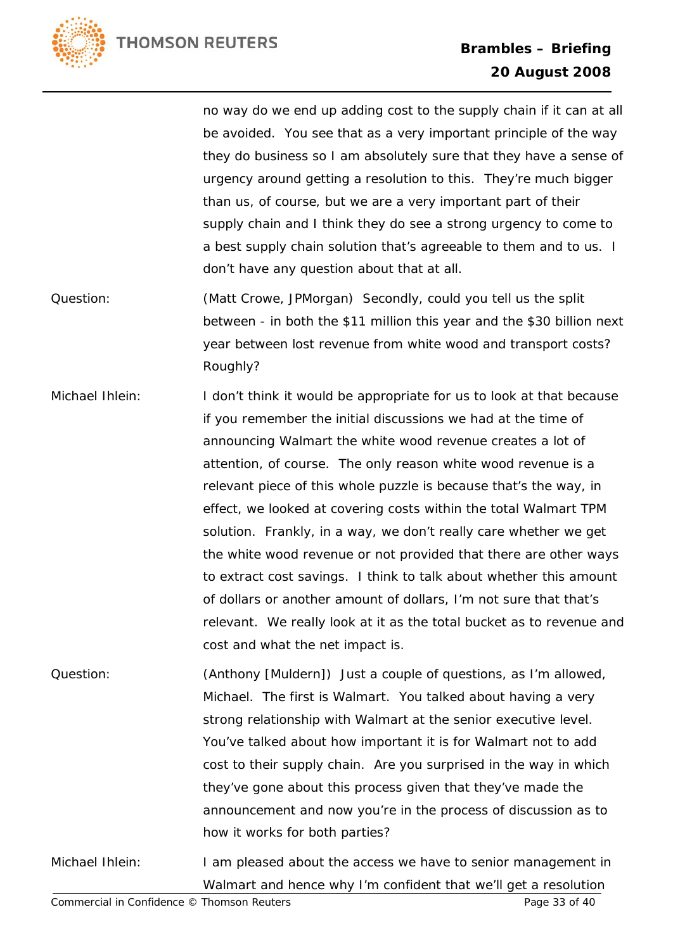

no way do we end up adding cost to the supply chain if it can at all be avoided. You see that as a very important principle of the way they do business so I am absolutely sure that they have a sense of urgency around getting a resolution to this. They're much bigger than us, of course, but we are a very important part of their supply chain and I think they do see a strong urgency to come to a best supply chain solution that's agreeable to them and to us. I don't have any question about that at all.

- Question: (Matt Crowe, JPMorgan) Secondly, could you tell us the split between - in both the \$11 million this year and the \$30 billion next year between lost revenue from white wood and transport costs? Roughly?
- Michael Ihlein: I don't think it would be appropriate for us to look at that because if you remember the initial discussions we had at the time of announcing Walmart the white wood revenue creates a lot of attention, of course. The only reason white wood revenue is a relevant piece of this whole puzzle is because that's the way, in effect, we looked at covering costs within the total Walmart TPM solution. Frankly, in a way, we don't really care whether we get the white wood revenue or not provided that there are other ways to extract cost savings. I think to talk about whether this amount of dollars or another amount of dollars, I'm not sure that that's relevant. We really look at it as the total bucket as to revenue and cost and what the net impact is.
- Question: (Anthony [Muldern]) Just a couple of questions, as I'm allowed, Michael. The first is Walmart. You talked about having a very strong relationship with Walmart at the senior executive level. You've talked about how important it is for Walmart not to add cost to their supply chain. Are you surprised in the way in which they've gone about this process given that they've made the announcement and now you're in the process of discussion as to how it works for both parties?
- Michael Ihlein: I am pleased about the access we have to senior management in Walmart and hence why I'm confident that we'll get a resolution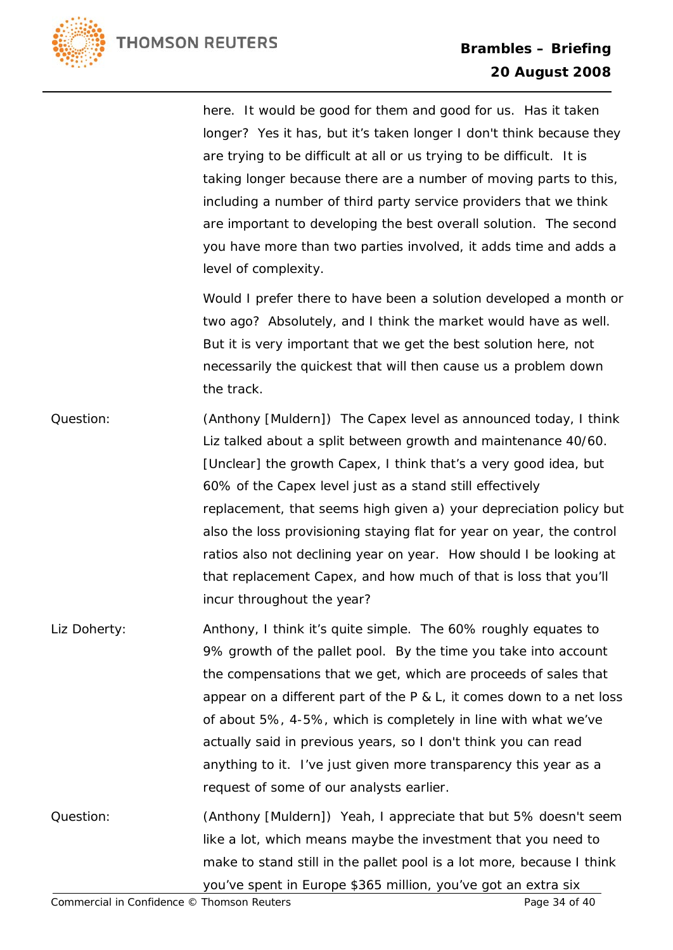

here. It would be good for them and good for us. Has it taken longer? Yes it has, but it's taken longer I don't think because they are trying to be difficult at all or us trying to be difficult. It is taking longer because there are a number of moving parts to this, including a number of third party service providers that we think are important to developing the best overall solution. The second you have more than two parties involved, it adds time and adds a level of complexity.

Would I prefer there to have been a solution developed a month or two ago? Absolutely, and I think the market would have as well. But it is very important that we get the best solution here, not necessarily the quickest that will then cause us a problem down the track.

- Question: (Anthony [Muldern]) The Capex level as announced today, I think Liz talked about a split between growth and maintenance 40/60. [Unclear] the growth Capex, I think that's a very good idea, but 60% of the Capex level just as a stand still effectively replacement, that seems high given a) your depreciation policy but also the loss provisioning staying flat for year on year, the control ratios also not declining year on year. How should I be looking at that replacement Capex, and how much of that is loss that you'll incur throughout the year?
- Liz Doherty: **Anthony, I think it's quite simple.** The 60% roughly equates to 9% growth of the pallet pool. By the time you take into account the compensations that we get, which are proceeds of sales that appear on a different part of the P & L, it comes down to a net loss of about 5%, 4-5%, which is completely in line with what we've actually said in previous years, so I don't think you can read anything to it. I've just given more transparency this year as a request of some of our analysts earlier.
- Question: (Anthony [Muldern]) Yeah, I appreciate that but 5% doesn't seem like a lot, which means maybe the investment that you need to make to stand still in the pallet pool is a lot more, because I think you've spent in Europe \$365 million, you've got an extra six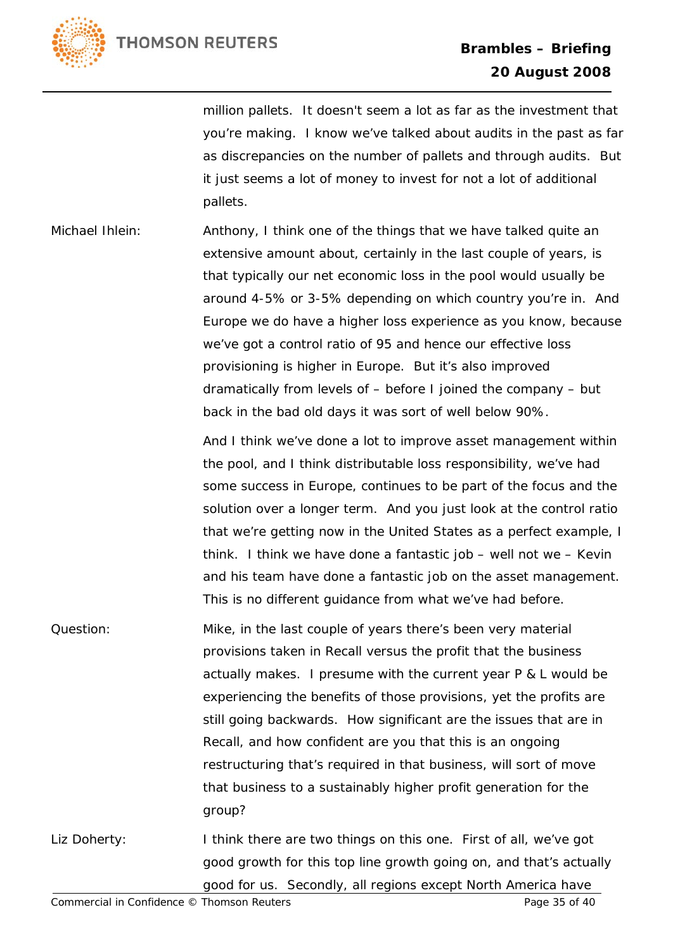

million pallets. It doesn't seem a lot as far as the investment that you're making. I know we've talked about audits in the past as far as discrepancies on the number of pallets and through audits. But it just seems a lot of money to invest for not a lot of additional pallets.

Michael Ihlein: Anthony, I think one of the things that we have talked quite an extensive amount about, certainly in the last couple of years, is that typically our net economic loss in the pool would usually be around 4-5% or 3-5% depending on which country you're in. And Europe we do have a higher loss experience as you know, because we've got a control ratio of 95 and hence our effective loss provisioning is higher in Europe. But it's also improved dramatically from levels of – before I joined the company – but back in the bad old days it was sort of well below 90%.

> And I think we've done a lot to improve asset management within the pool, and I think distributable loss responsibility, we've had some success in Europe, continues to be part of the focus and the solution over a longer term. And you just look at the control ratio that we're getting now in the United States as a perfect example, I think. I think we have done a fantastic job – well not we – Kevin and his team have done a fantastic job on the asset management. This is no different guidance from what we've had before.

- Question: Mike, in the last couple of years there's been very material provisions taken in Recall versus the profit that the business actually makes. I presume with the current year P & L would be experiencing the benefits of those provisions, yet the profits are still going backwards. How significant are the issues that are in Recall, and how confident are you that this is an ongoing restructuring that's required in that business, will sort of move that business to a sustainably higher profit generation for the group?
- Liz Doherty: I think there are two things on this one. First of all, we've got good growth for this top line growth going on, and that's actually good for us. Secondly, all regions except North America have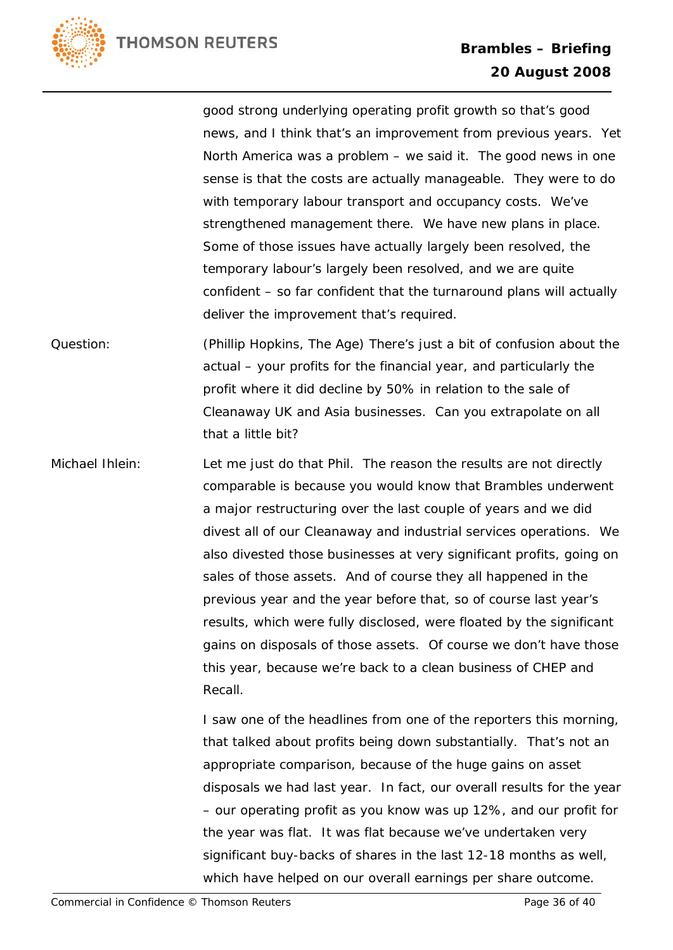

good strong underlying operating profit growth so that's good news, and I think that's an improvement from previous years. Yet North America was a problem – we said it. The good news in one sense is that the costs are actually manageable. They were to do with temporary labour transport and occupancy costs. We've strengthened management there. We have new plans in place. Some of those issues have actually largely been resolved, the temporary labour's largely been resolved, and we are quite confident – so far confident that the turnaround plans will actually deliver the improvement that's required.

- Question: (Phillip Hopkins, The Age) There's just a bit of confusion about the actual – your profits for the financial year, and particularly the profit where it did decline by 50% in relation to the sale of Cleanaway UK and Asia businesses. Can you extrapolate on all that a little bit?
- Michael Ihlein: Let me just do that Phil. The reason the results are not directly comparable is because you would know that Brambles underwent a major restructuring over the last couple of years and we did divest all of our Cleanaway and industrial services operations. We also divested those businesses at very significant profits, going on sales of those assets. And of course they all happened in the previous year and the year before that, so of course last year's results, which were fully disclosed, were floated by the significant gains on disposals of those assets. Of course we don't have those this year, because we're back to a clean business of CHEP and Recall.

I saw one of the headlines from one of the reporters this morning, that talked about profits being down substantially. That's not an appropriate comparison, because of the huge gains on asset disposals we had last year. In fact, our overall results for the year – our operating profit as you know was up 12%, and our profit for the year was flat. It was flat because we've undertaken very significant buy-backs of shares in the last 12-18 months as well, which have helped on our overall earnings per share outcome.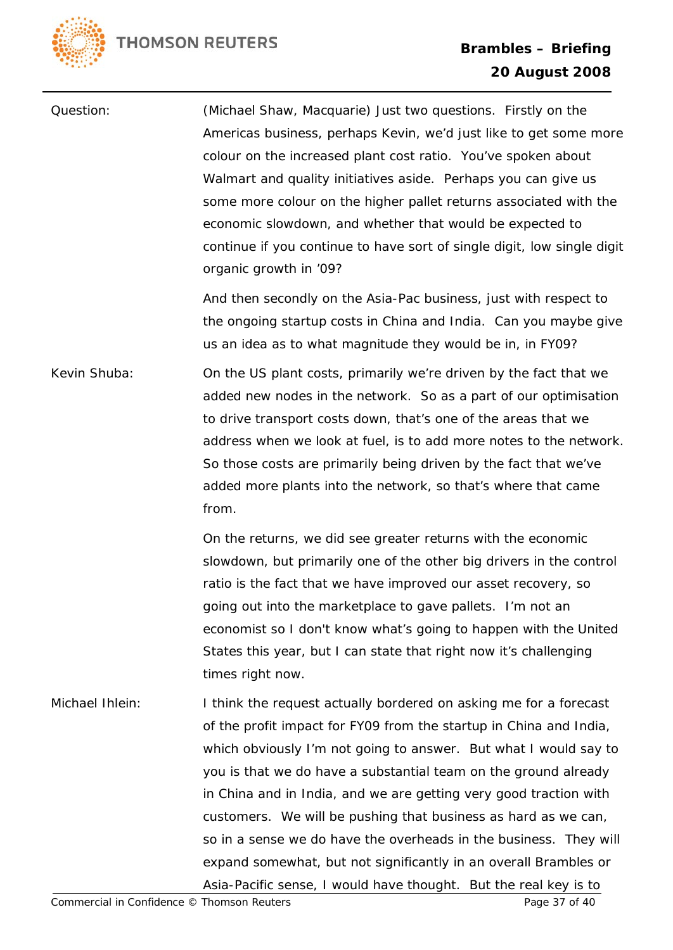Question: (Michael Shaw, Macquarie) Just two questions. Firstly on the Americas business, perhaps Kevin, we'd just like to get some more colour on the increased plant cost ratio. You've spoken about Walmart and quality initiatives aside. Perhaps you can give us some more colour on the higher pallet returns associated with the economic slowdown, and whether that would be expected to continue if you continue to have sort of single digit, low single digit organic growth in '09? And then secondly on the Asia-Pac business, just with respect to the ongoing startup costs in China and India. Can you maybe give us an idea as to what magnitude they would be in, in FY09? Kevin Shuba: On the US plant costs, primarily we're driven by the fact that we added new nodes in the network. So as a part of our optimisation to drive transport costs down, that's one of the areas that we address when we look at fuel, is to add more notes to the network. So those costs are primarily being driven by the fact that we've added more plants into the network, so that's where that came from.

> On the returns, we did see greater returns with the economic slowdown, but primarily one of the other big drivers in the control ratio is the fact that we have improved our asset recovery, so going out into the marketplace to gave pallets. I'm not an economist so I don't know what's going to happen with the United States this year, but I can state that right now it's challenging times right now.

Michael Ihlein: I think the request actually bordered on asking me for a forecast of the profit impact for FY09 from the startup in China and India, which obviously I'm not going to answer. But what I would say to you is that we do have a substantial team on the ground already in China and in India, and we are getting very good traction with customers. We will be pushing that business as hard as we can, so in a sense we do have the overheads in the business. They will expand somewhat, but not significantly in an overall Brambles or Asia-Pacific sense, I would have thought. But the real key is to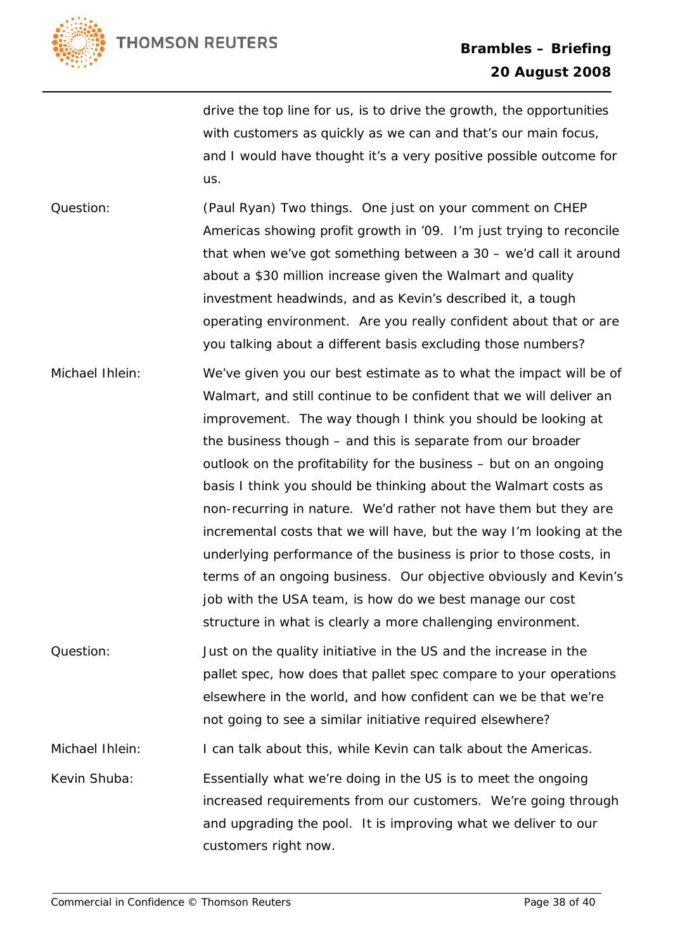

drive the top line for us, is to drive the growth, the opportunities with customers as quickly as we can and that's our main focus, and I would have thought it's a very positive possible outcome for us.

Question: (Paul Ryan) Two things. One just on your comment on CHEP Americas showing profit growth in '09. I'm just trying to reconcile that when we've got something between a 30 – we'd call it around about a \$30 million increase given the Walmart and quality investment headwinds, and as Kevin's described it, a tough operating environment. Are you really confident about that or are you talking about a different basis excluding those numbers?

- Michael Ihlein: We've given you our best estimate as to what the impact will be of Walmart, and still continue to be confident that we will deliver an improvement. The way though I think you should be looking at the business though – and this is separate from our broader outlook on the profitability for the business – but on an ongoing basis I think you should be thinking about the Walmart costs as non-recurring in nature. We'd rather not have them but they are incremental costs that we will have, but the way I'm looking at the underlying performance of the business is prior to those costs, in terms of an ongoing business. Our objective obviously and Kevin's job with the USA team, is how do we best manage our cost structure in what is clearly a more challenging environment.
- Question: Just on the quality initiative in the US and the increase in the pallet spec, how does that pallet spec compare to your operations elsewhere in the world, and how confident can we be that we're not going to see a similar initiative required elsewhere? Michael Ihlein: I can talk about this, while Kevin can talk about the Americas. Kevin Shuba: Essentially what we're doing in the US is to meet the ongoing increased requirements from our customers. We're going through and upgrading the pool. It is improving what we deliver to our customers right now.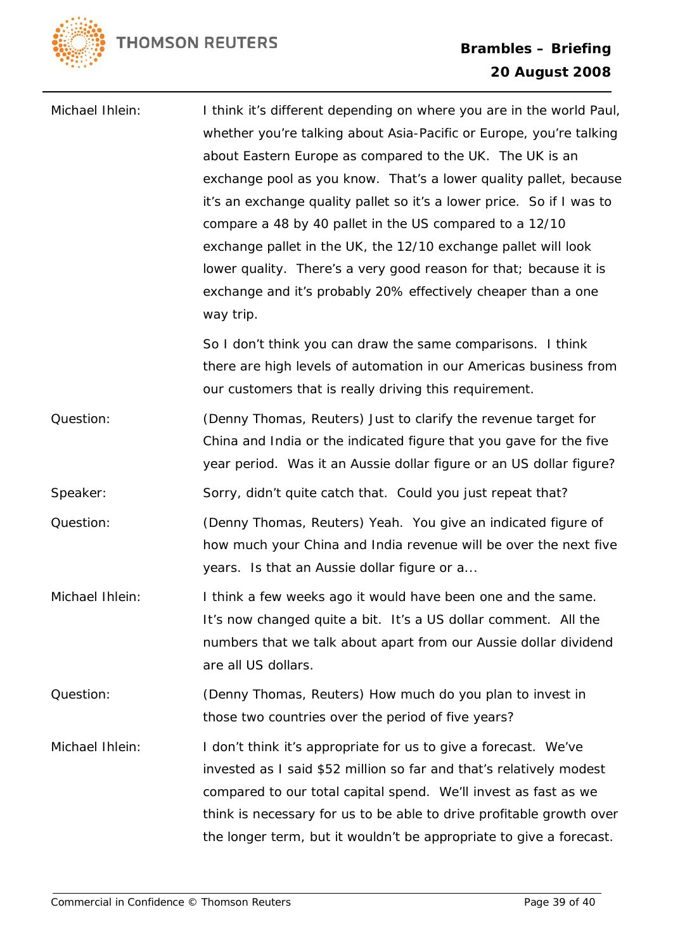

| Michael Ihlein: | I think it's different depending on where you are in the world Paul,                                                        |
|-----------------|-----------------------------------------------------------------------------------------------------------------------------|
|                 | whether you're talking about Asia-Pacific or Europe, you're talking                                                         |
|                 | about Eastern Europe as compared to the UK. The UK is an                                                                    |
|                 | exchange pool as you know. That's a lower quality pallet, because                                                           |
|                 | it's an exchange quality pallet so it's a lower price. So if I was to                                                       |
|                 | compare a 48 by 40 pallet in the US compared to a 12/10                                                                     |
|                 | exchange pallet in the UK, the 12/10 exchange pallet will look                                                              |
|                 | lower quality. There's a very good reason for that; because it is                                                           |
|                 | exchange and it's probably 20% effectively cheaper than a one<br>way trip.                                                  |
|                 | So I don't think you can draw the same comparisons. I think                                                                 |
|                 | there are high levels of automation in our Americas business from<br>our customers that is really driving this requirement. |
| Question:       | (Denny Thomas, Reuters) Just to clarify the revenue target for                                                              |
|                 | China and India or the indicated figure that you gave for the five                                                          |
|                 | year period. Was it an Aussie dollar figure or an US dollar figure?                                                         |
| Speaker:        | Sorry, didn't quite catch that. Could you just repeat that?                                                                 |
| Question:       | (Denny Thomas, Reuters) Yeah. You give an indicated figure of                                                               |
|                 | how much your China and India revenue will be over the next five                                                            |
|                 | years. Is that an Aussie dollar figure or a                                                                                 |
| Michael Ihlein: | I think a few weeks ago it would have been one and the same.                                                                |
|                 | It's now changed quite a bit. It's a US dollar comment. All the                                                             |
|                 | numbers that we talk about apart from our Aussie dollar dividend                                                            |
|                 | are all US dollars.                                                                                                         |
| Question:       | (Denny Thomas, Reuters) How much do you plan to invest in                                                                   |
|                 | those two countries over the period of five years?                                                                          |
| Michael Ihlein: | I don't think it's appropriate for us to give a forecast. We've                                                             |
|                 | invested as I said \$52 million so far and that's relatively modest                                                         |
|                 | compared to our total capital spend. We'll invest as fast as we                                                             |
|                 | think is necessary for us to be able to drive profitable growth over                                                        |
|                 | the longer term, but it wouldn't be appropriate to give a forecast.                                                         |